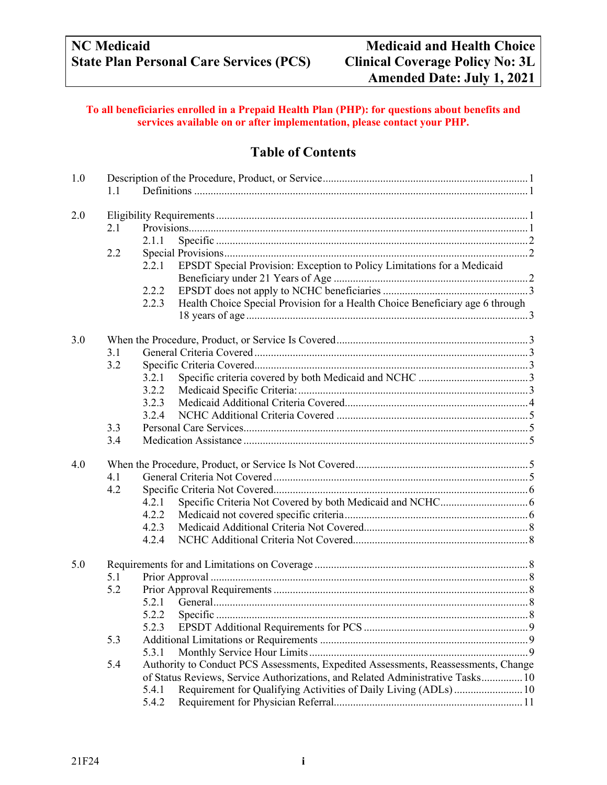#### **To all beneficiaries enrolled in a Prepaid Health Plan (PHP): for questions about benefits and services available on or after implementation, please contact your PHP.**

## **Table of Contents**

| 1.0 | 1.1 |       |                                                                                    |  |  |  |
|-----|-----|-------|------------------------------------------------------------------------------------|--|--|--|
| 2.0 |     |       |                                                                                    |  |  |  |
|     | 2.1 |       |                                                                                    |  |  |  |
|     |     | 2.1.1 |                                                                                    |  |  |  |
|     | 2.2 |       |                                                                                    |  |  |  |
|     |     | 2.2.1 | EPSDT Special Provision: Exception to Policy Limitations for a Medicaid            |  |  |  |
|     |     |       |                                                                                    |  |  |  |
|     |     | 2.2.2 |                                                                                    |  |  |  |
|     |     | 2.2.3 | Health Choice Special Provision for a Health Choice Beneficiary age 6 through      |  |  |  |
|     |     |       |                                                                                    |  |  |  |
| 3.0 |     |       |                                                                                    |  |  |  |
|     | 3.1 |       |                                                                                    |  |  |  |
|     | 3.2 |       |                                                                                    |  |  |  |
|     |     | 3.2.1 |                                                                                    |  |  |  |
|     |     | 3.2.2 |                                                                                    |  |  |  |
|     |     | 3.2.3 |                                                                                    |  |  |  |
|     |     | 3.2.4 |                                                                                    |  |  |  |
|     | 3.3 |       |                                                                                    |  |  |  |
|     | 3.4 |       |                                                                                    |  |  |  |
|     |     |       |                                                                                    |  |  |  |
| 4.0 |     |       |                                                                                    |  |  |  |
|     | 4.1 |       |                                                                                    |  |  |  |
|     | 4.2 |       |                                                                                    |  |  |  |
|     |     | 4.2.1 |                                                                                    |  |  |  |
|     |     | 4.2.2 |                                                                                    |  |  |  |
|     |     | 4.2.3 |                                                                                    |  |  |  |
|     |     | 4.2.4 |                                                                                    |  |  |  |
| 5.0 |     |       |                                                                                    |  |  |  |
|     | 5.1 |       |                                                                                    |  |  |  |
|     | 5.2 |       |                                                                                    |  |  |  |
|     |     | 5.2.1 |                                                                                    |  |  |  |
|     |     |       |                                                                                    |  |  |  |
|     |     | 5.2.3 |                                                                                    |  |  |  |
|     | 5.3 |       |                                                                                    |  |  |  |
|     |     | 5.3.1 |                                                                                    |  |  |  |
|     | 5.4 |       | Authority to Conduct PCS Assessments, Expedited Assessments, Reassessments, Change |  |  |  |
|     |     |       | of Status Reviews, Service Authorizations, and Related Administrative Tasks 10     |  |  |  |
|     |     | 5.4.1 | Requirement for Qualifying Activities of Daily Living (ADLs) 10                    |  |  |  |
|     |     | 5.4.2 |                                                                                    |  |  |  |
|     |     |       |                                                                                    |  |  |  |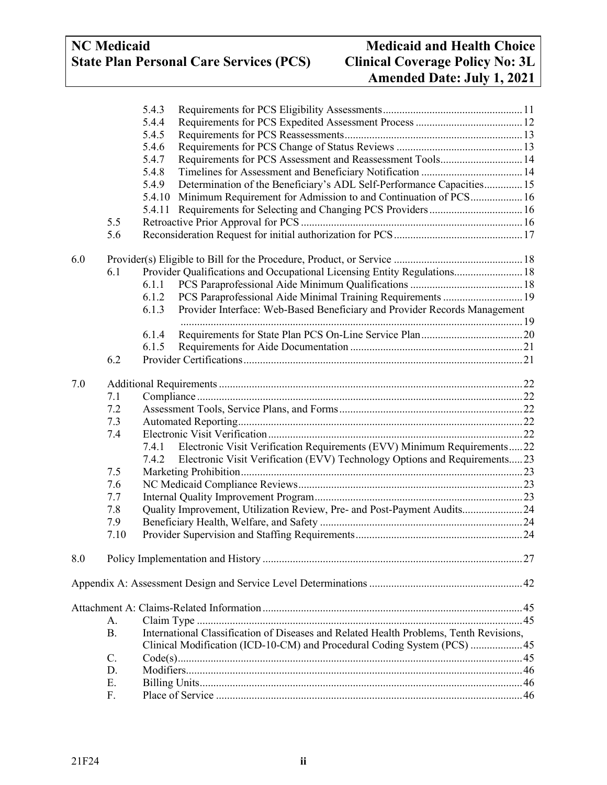# **NC** Medicaid<br>
State Plan Personal Care Services (PCS) Clinical Coverage Policy No: 3L **State Plan Personal Care Services (PCS)**

# **Amended Date: July 1, 2021**

|     |           | 5.4.3  |                                                                                        |  |
|-----|-----------|--------|----------------------------------------------------------------------------------------|--|
|     |           | 5.4.4  |                                                                                        |  |
|     |           | 5.4.5  |                                                                                        |  |
|     |           | 5.4.6  |                                                                                        |  |
|     |           | 5.4.7  | Requirements for PCS Assessment and Reassessment Tools 14                              |  |
|     |           | 5.4.8  |                                                                                        |  |
|     |           | 5.4.9  | Determination of the Beneficiary's ADL Self-Performance Capacities 15                  |  |
|     |           | 5.4.10 | Minimum Requirement for Admission to and Continuation of PCS 16                        |  |
|     |           | 5.4.11 | Requirements for Selecting and Changing PCS Providers 16                               |  |
|     | 5.5       |        |                                                                                        |  |
|     | 5.6       |        |                                                                                        |  |
| 6.0 |           |        |                                                                                        |  |
|     | 6.1       |        | Provider Qualifications and Occupational Licensing Entity Regulations 18               |  |
|     |           | 6.1.1  |                                                                                        |  |
|     |           | 6.1.2  | PCS Paraprofessional Aide Minimal Training Requirements  19                            |  |
|     |           | 6.1.3  | Provider Interface: Web-Based Beneficiary and Provider Records Management              |  |
|     |           |        |                                                                                        |  |
|     |           | 6.1.4  |                                                                                        |  |
|     |           | 6.1.5  |                                                                                        |  |
|     | 6.2       |        |                                                                                        |  |
| 7.0 |           |        |                                                                                        |  |
|     | 7.1       |        |                                                                                        |  |
|     | 7.2       |        |                                                                                        |  |
|     | 7.3       |        |                                                                                        |  |
|     | 7.4       |        |                                                                                        |  |
|     |           | 7.4.1  | Electronic Visit Verification Requirements (EVV) Minimum Requirements22                |  |
|     |           | 7.4.2  | Electronic Visit Verification (EVV) Technology Options and Requirements23              |  |
|     | 7.5       |        |                                                                                        |  |
|     | 7.6       |        |                                                                                        |  |
|     | 7.7       |        |                                                                                        |  |
|     | 7.8       |        | Quality Improvement, Utilization Review, Pre- and Post-Payment Audits24                |  |
|     | 7.9       |        |                                                                                        |  |
|     | 7.10      |        |                                                                                        |  |
| 8.0 |           |        |                                                                                        |  |
|     |           |        |                                                                                        |  |
|     |           |        |                                                                                        |  |
|     | А.        |        |                                                                                        |  |
|     | <b>B.</b> |        | International Classification of Diseases and Related Health Problems, Tenth Revisions, |  |
|     |           |        | Clinical Modification (ICD-10-CM) and Procedural Coding System (PCS)  45               |  |
|     | $C$ .     |        |                                                                                        |  |
|     | D.        |        |                                                                                        |  |
|     | Ε.        |        |                                                                                        |  |
|     | F.        |        |                                                                                        |  |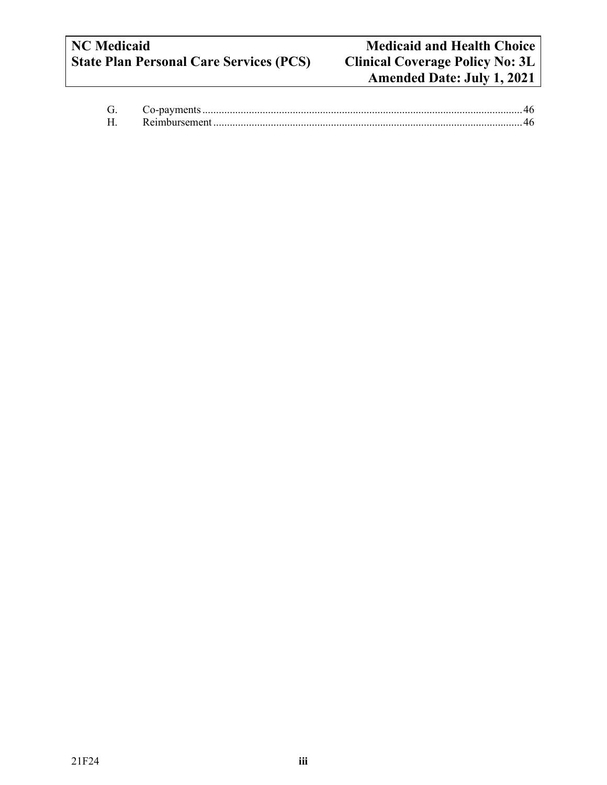# **NC** Medicaid<br> **Net and Health Choice**<br> **State Plan Personal Care Services (PCS) Clinical Coverage Policy No: 3L State Plan Personal Care Services (PCS)**

| Reimbursement |  |
|---------------|--|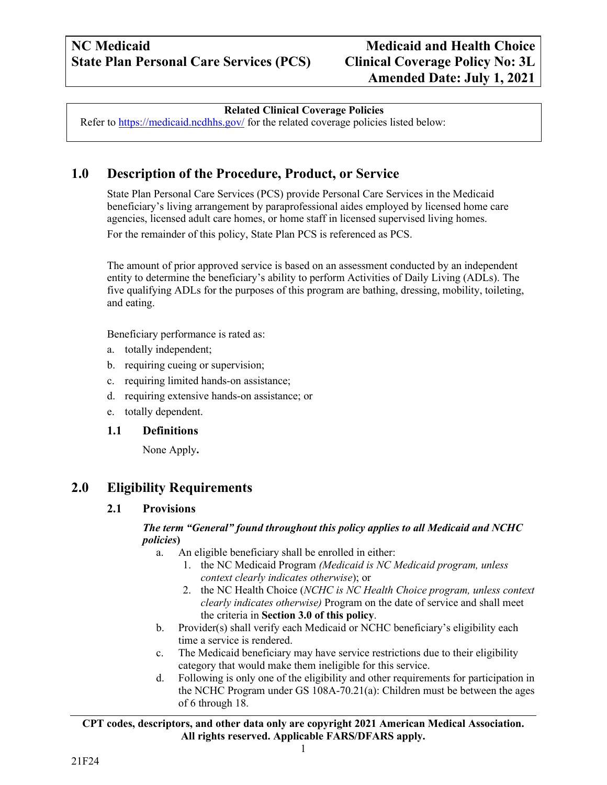#### **Related Clinical Coverage Policies**

Refer to<https://medicaid.ncdhhs.gov/> for the related coverage policies listed below:

## <span id="page-3-0"></span>**1.0 Description of the Procedure, Product, or Service**

State Plan Personal Care Services (PCS) provide Personal Care Services in the Medicaid beneficiary's living arrangement by paraprofessional aides employed by licensed home care agencies, licensed adult care homes, or home staff in licensed supervised living homes. For the remainder of this policy, State Plan PCS is referenced as PCS.

The amount of prior approved service is based on an assessment conducted by an independent entity to determine the beneficiary's ability to perform Activities of Daily Living (ADLs). The five qualifying ADLs for the purposes of this program are bathing, dressing, mobility, toileting, and eating.

Beneficiary performance is rated as:

- a. totally independent;
- b. requiring cueing or supervision;
- c. requiring limited hands-on assistance;
- d. requiring extensive hands-on assistance; or
- e. totally dependent.

#### <span id="page-3-1"></span>**1.1 Definitions**

None Apply**.**

## <span id="page-3-3"></span><span id="page-3-2"></span>**2.0 Eligibility Requirements**

#### **2.1 Provisions**

#### *The term "General" found throughout this policy applies to all Medicaid and NCHC policies***)**

a. An eligible beneficiary shall be enrolled in either:

- 1. the NC Medicaid Program *(Medicaid is NC Medicaid program, unless context clearly indicates otherwise*); or
- 2. the NC Health Choice (*NCHC is NC Health Choice program, unless context clearly indicates otherwise)* Program on the date of service and shall meet the criteria in **Section 3.0 of this policy**.
- b. Provider(s) shall verify each Medicaid or NCHC beneficiary's eligibility each time a service is rendered.
- c. The Medicaid beneficiary may have service restrictions due to their eligibility category that would make them ineligible for this service.
- d. Following is only one of the eligibility and other requirements for participation in the NCHC Program under GS 108A-70.21(a): Children must be between the ages of 6 through 18.

#### **CPT codes, descriptors, and other data only are copyright 2021 American Medical Association. All rights reserved. Applicable FARS/DFARS apply.**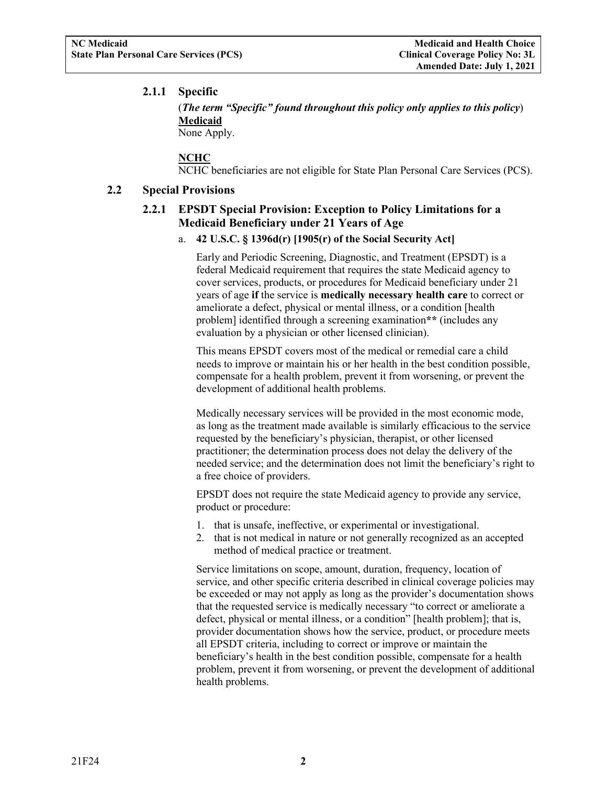#### <span id="page-4-0"></span>**2.1.1 Specific**

(*The term "Specific" found throughout this policy only applies to this policy*) **Medicaid** None Apply.

**NCHC** 

NCHC beneficiaries are not eligible for State Plan Personal Care Services (PCS).

#### <span id="page-4-2"></span><span id="page-4-1"></span>**2.2 Special Provisions**

#### **2.2.1 EPSDT Special Provision: Exception to Policy Limitations for a Medicaid Beneficiary under 21 Years of Age**

#### a. **42 U.S.C. § 1396d(r) [1905(r) of the Social Security Act]**

Early and Periodic Screening, Diagnostic, and Treatment (EPSDT) is a federal Medicaid requirement that requires the state Medicaid agency to cover services, products, or procedures for Medicaid beneficiary under 21 years of age **if** the service is **medically necessary health care** to correct or ameliorate a defect, physical or mental illness, or a condition [health problem] identified through a screening examination**\*\*** (includes any evaluation by a physician or other licensed clinician).

This means EPSDT covers most of the medical or remedial care a child needs to improve or maintain his or her health in the best condition possible, compensate for a health problem, prevent it from worsening, or prevent the development of additional health problems.

Medically necessary services will be provided in the most economic mode, as long as the treatment made available is similarly efficacious to the service requested by the beneficiary's physician, therapist, or other licensed practitioner; the determination process does not delay the delivery of the needed service; and the determination does not limit the beneficiary's right to a free choice of providers.

EPSDT does not require the state Medicaid agency to provide any service, product or procedure:

- 1. that is unsafe, ineffective, or experimental or investigational.
- 2. that is not medical in nature or not generally recognized as an accepted method of medical practice or treatment.

Service limitations on scope, amount, duration, frequency, location of service, and other specific criteria described in clinical coverage policies may be exceeded or may not apply as long as the provider's documentation shows that the requested service is medically necessary "to correct or ameliorate a defect, physical or mental illness, or a condition" [health problem]; that is, provider documentation shows how the service, product, or procedure meets all EPSDT criteria, including to correct or improve or maintain the beneficiary's health in the best condition possible, compensate for a health problem, prevent it from worsening, or prevent the development of additional health problems.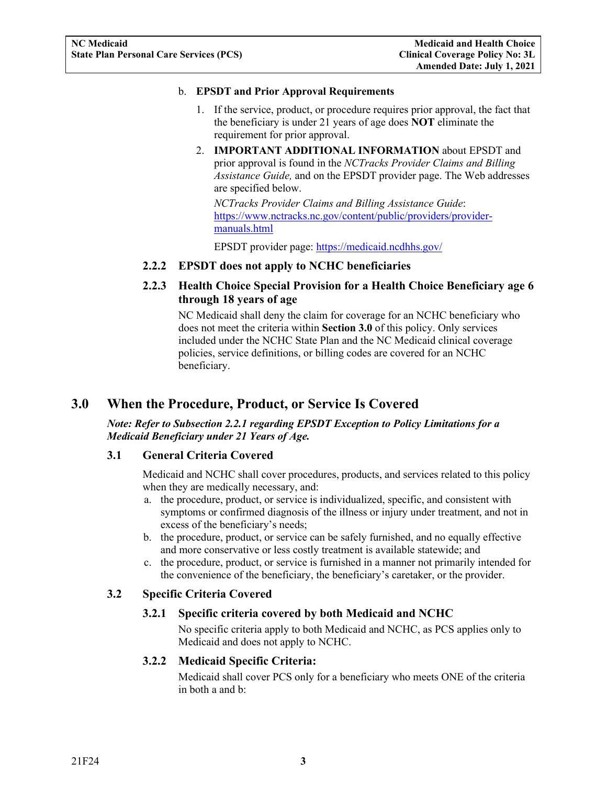#### b. **EPSDT and Prior Approval Requirements**

- 1. If the service, product, or procedure requires prior approval, the fact that the beneficiary is under 21 years of age does **NOT** eliminate the requirement for prior approval.
- 2. **IMPORTANT ADDITIONAL INFORMATION** about EPSDT and prior approval is found in the *NCTracks Provider Claims and Billing Assistance Guide,* and on the EPSDT provider page. The Web addresses are specified below.

*NCTracks Provider Claims and Billing Assistance Guide*: [https://www.nctracks.nc.gov/content/public/providers/provider](https://www.nctracks.nc.gov/content/public/providers/provider-manuals.html)[manuals.html](https://www.nctracks.nc.gov/content/public/providers/provider-manuals.html)

EPSDT provider page: <https://medicaid.ncdhhs.gov/>

#### <span id="page-5-0"></span>**2.2.2 EPSDT does not apply to NCHC beneficiaries**

#### <span id="page-5-1"></span>**2.2.3 Health Choice Special Provision for a Health Choice Beneficiary age 6 through 18 years of age**

NC Medicaid shall deny the claim for coverage for an NCHC beneficiary who does not meet the criteria within **Section 3.0** of this policy. Only services included under the NCHC State Plan and the NC Medicaid clinical coverage policies, service definitions, or billing codes are covered for an NCHC beneficiary.

## <span id="page-5-2"></span>**3.0 When the Procedure, Product, or Service Is Covered**

#### *Note: Refer to Subsection 2.2.1 regarding EPSDT Exception to Policy Limitations for a Medicaid Beneficiary under 21 Years of Age.*

#### <span id="page-5-3"></span>**3.1 General Criteria Covered**

Medicaid and NCHC shall cover procedures, products, and services related to this policy when they are medically necessary, and:

- a. the procedure, product, or service is individualized, specific, and consistent with symptoms or confirmed diagnosis of the illness or injury under treatment, and not in excess of the beneficiary's needs;
- b. the procedure, product, or service can be safely furnished, and no equally effective and more conservative or less costly treatment is available statewide; and
- c. the procedure, product, or service is furnished in a manner not primarily intended for the convenience of the beneficiary, the beneficiary's caretaker, or the provider.

#### <span id="page-5-6"></span><span id="page-5-5"></span><span id="page-5-4"></span>**3.2 Specific Criteria Covered**

#### **3.2.1 Specific criteria covered by both Medicaid and NCHC**

No specific criteria apply to both Medicaid and NCHC, as PCS applies only to Medicaid and does not apply to NCHC.

#### **3.2.2 Medicaid Specific Criteria:**

Medicaid shall cover PCS only for a beneficiary who meets ONE of the criteria in both a and b: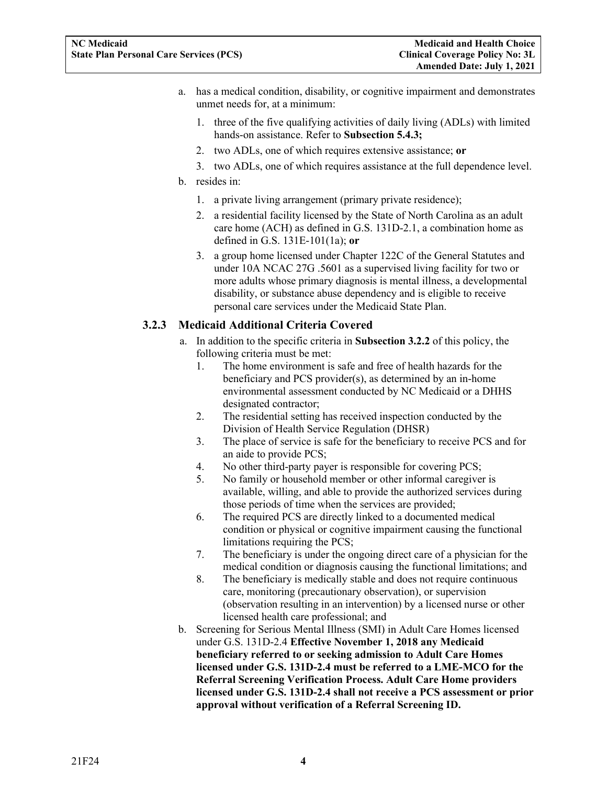- a. has a medical condition, disability, or cognitive impairment and demonstrates unmet needs for, at a minimum:
	- 1. three of the five qualifying activities of daily living (ADLs) with limited hands-on assistance. Refer to **Subsection 5.4.3;**
	- 2. two ADLs, one of which requires extensive assistance; **or**
	- 3. two ADLs, one of which requires assistance at the full dependence level.
- b. resides in:
	- 1. a private living arrangement (primary private residence);
	- 2. a residential facility licensed by the State of North Carolina as an adult care home (ACH) as defined in G.S. 131D-2.1, a combination home as defined in G.S. 131E-101(1a); **or**
	- 3. a group home licensed under Chapter 122C of the General Statutes and under 10A NCAC 27G .5601 as a supervised living facility for two or more adults whose primary diagnosis is mental illness, a developmental disability, or substance abuse dependency and is eligible to receive personal care services under the Medicaid State Plan.

#### <span id="page-6-0"></span>**3.2.3 Medicaid Additional Criteria Covered**

- a. In addition to the specific criteria in **Subsection 3.2.2** of this policy, the following criteria must be met:
	- 1. The home environment is safe and free of health hazards for the beneficiary and PCS provider(s), as determined by an in-home environmental assessment conducted by NC Medicaid or a DHHS designated contractor;
	- 2. The residential setting has received inspection conducted by the Division of Health Service Regulation (DHSR)
	- 3. The place of service is safe for the beneficiary to receive PCS and for an aide to provide PCS;
	- 4. No other third-party payer is responsible for covering PCS;
	- 5. No family or household member or other informal caregiver is available, willing, and able to provide the authorized services during those periods of time when the services are provided;
	- 6. The required PCS are directly linked to a documented medical condition or physical or cognitive impairment causing the functional limitations requiring the PCS;
	- 7. The beneficiary is under the ongoing direct care of a physician for the medical condition or diagnosis causing the functional limitations; and
	- 8. The beneficiary is medically stable and does not require continuous care, monitoring (precautionary observation), or supervision (observation resulting in an intervention) by a licensed nurse or other licensed health care professional; and
- b. Screening for Serious Mental Illness (SMI) in Adult Care Homes licensed under G.S. 131D-2.4 **Effective November 1, 2018 any Medicaid beneficiary referred to or seeking admission to Adult Care Homes licensed under G.S. 131D-2.4 must be referred to a LME-MCO for the Referral Screening Verification Process. Adult Care Home providers licensed under G.S. 131D-2.4 shall not receive a PCS assessment or prior approval without verification of a Referral Screening ID.**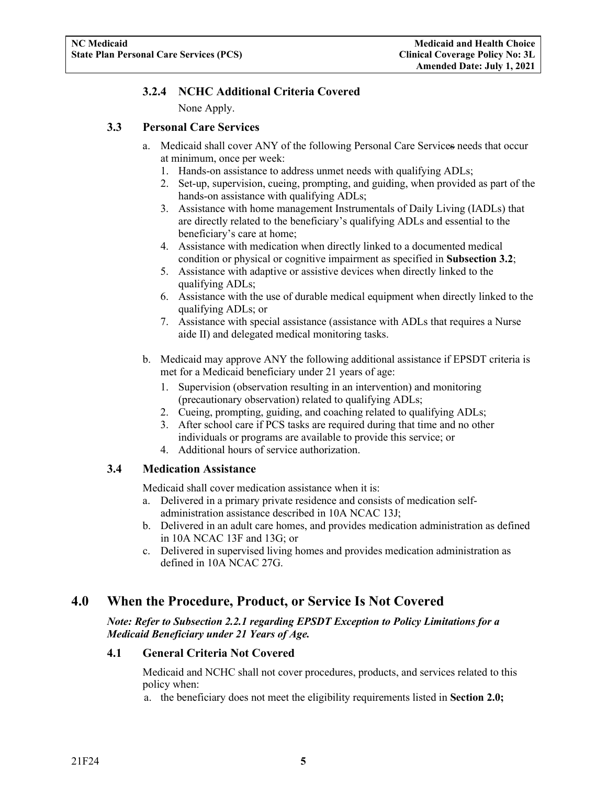#### **3.2.4 NCHC Additional Criteria Covered**

None Apply.

#### <span id="page-7-1"></span><span id="page-7-0"></span>**3.3 Personal Care Services**

- a. Medicaid shall cover ANY of the following Personal Care Services needs that occur at minimum, once per week:
	- 1. Hands-on assistance to address unmet needs with qualifying ADLs;
	- 2. Set-up, supervision, cueing, prompting, and guiding, when provided as part of the hands-on assistance with qualifying ADLs;
	- 3. Assistance with home management Instrumentals of Daily Living (IADLs) that are directly related to the beneficiary's qualifying ADLs and essential to the beneficiary's care at home;
	- 4. Assistance with medication when directly linked to a documented medical condition or physical or cognitive impairment as specified in **Subsection 3.2**;
	- 5. Assistance with adaptive or assistive devices when directly linked to the qualifying ADLs;
	- 6. Assistance with the use of durable medical equipment when directly linked to the qualifying ADLs; or
	- 7. Assistance with special assistance (assistance with ADLs that requires a Nurse aide II) and delegated medical monitoring tasks.
- b. Medicaid may approve ANY the following additional assistance if EPSDT criteria is met for a Medicaid beneficiary under 21 years of age:
	- 1. Supervision (observation resulting in an intervention) and monitoring (precautionary observation) related to qualifying ADLs;
	- 2. Cueing, prompting, guiding, and coaching related to qualifying ADLs;
	- 3. After school care if PCS tasks are required during that time and no other individuals or programs are available to provide this service; or
	- 4. Additional hours of service authorization.

#### <span id="page-7-2"></span>**3.4 Medication Assistance**

Medicaid shall cover medication assistance when it is:

- a. Delivered in a primary private residence and consists of medication selfadministration assistance described in 10A NCAC 13J;
- b. Delivered in an adult care homes, and provides medication administration as defined in 10A NCAC 13F and 13G; or
- c. Delivered in supervised living homes and provides medication administration as defined in 10A NCAC 27G.

## <span id="page-7-3"></span>**4.0 When the Procedure, Product, or Service Is Not Covered**

*Note: Refer to Subsection 2.2.1 regarding EPSDT Exception to Policy Limitations for a Medicaid Beneficiary under 21 Years of Age.*

#### <span id="page-7-4"></span>**4.1 General Criteria Not Covered**

Medicaid and NCHC shall not cover procedures, products, and services related to this policy when:

a. the beneficiary does not meet the eligibility requirements listed in **Section 2.0;**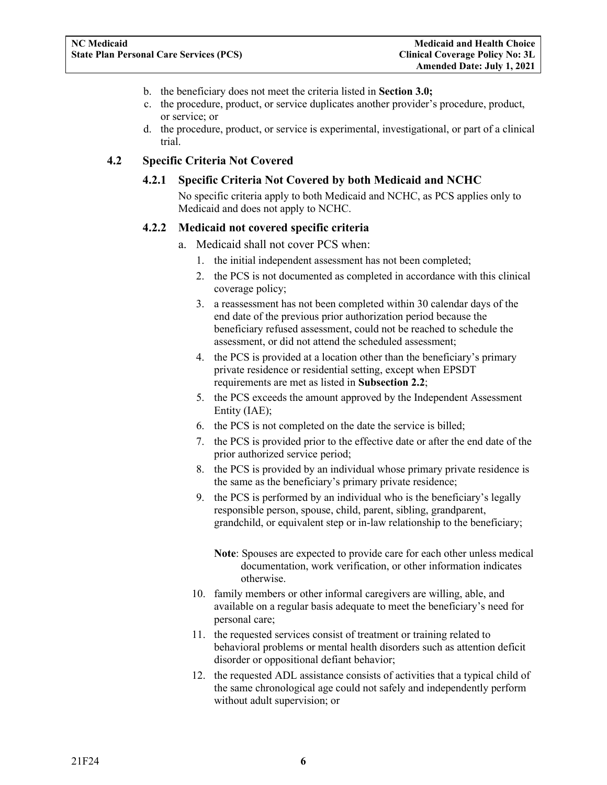- b. the beneficiary does not meet the criteria listed in **Section 3.0;**
- c. the procedure, product, or service duplicates another provider's procedure, product, or service; or
- d. the procedure, product, or service is experimental, investigational, or part of a clinical trial.

#### <span id="page-8-2"></span><span id="page-8-1"></span><span id="page-8-0"></span>**4.2 Specific Criteria Not Covered**

#### **4.2.1 Specific Criteria Not Covered by both Medicaid and NCHC**

No specific criteria apply to both Medicaid and NCHC, as PCS applies only to Medicaid and does not apply to NCHC.

#### **4.2.2 Medicaid not covered specific criteria**

- a. Medicaid shall not cover PCS when:
	- 1. the initial independent assessment has not been completed;
	- 2. the PCS is not documented as completed in accordance with this clinical coverage policy;
	- 3. a reassessment has not been completed within 30 calendar days of the end date of the previous prior authorization period because the beneficiary refused assessment, could not be reached to schedule the assessment, or did not attend the scheduled assessment;
	- 4. the PCS is provided at a location other than the beneficiary's primary private residence or residential setting, except when EPSDT requirements are met as listed in **Subsection 2.2**;
	- 5. the PCS exceeds the amount approved by the Independent Assessment Entity (IAE);
	- 6. the PCS is not completed on the date the service is billed;
	- 7. the PCS is provided prior to the effective date or after the end date of the prior authorized service period;
	- 8. the PCS is provided by an individual whose primary private residence is the same as the beneficiary's primary private residence;
	- 9. the PCS is performed by an individual who is the beneficiary's legally responsible person, spouse, child, parent, sibling, grandparent, grandchild, or equivalent step or in-law relationship to the beneficiary;
		- **Note**: Spouses are expected to provide care for each other unless medical documentation, work verification, or other information indicates otherwise.
	- 10. family members or other informal caregivers are willing, able, and available on a regular basis adequate to meet the beneficiary's need for personal care;
	- 11. the requested services consist of treatment or training related to behavioral problems or mental health disorders such as attention deficit disorder or oppositional defiant behavior;
	- 12. the requested ADL assistance consists of activities that a typical child of the same chronological age could not safely and independently perform without adult supervision; or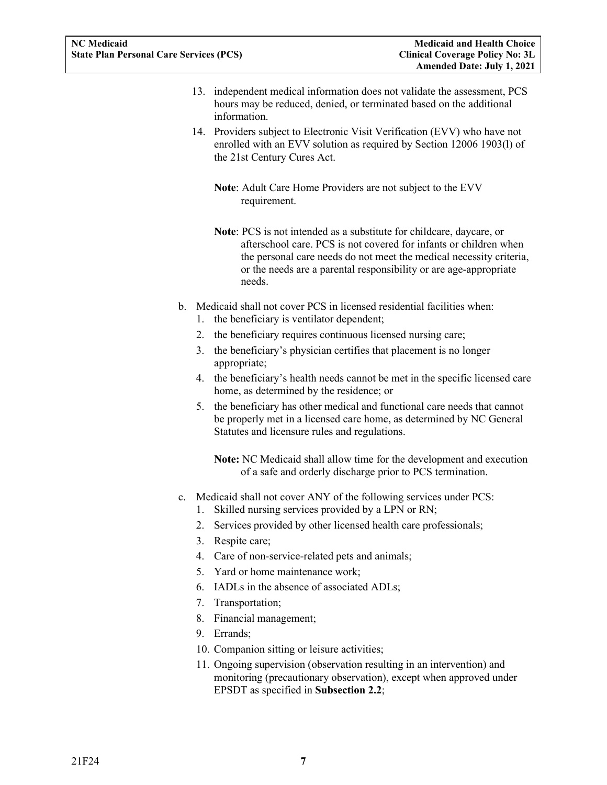- 13. independent medical information does not validate the assessment, PCS hours may be reduced, denied, or terminated based on the additional information.
- 14. Providers subject to Electronic Visit Verification (EVV) who have not enrolled with an EVV solution as required by Section 12006 1903(l) of the 21st Century Cures Act.

**Note**: Adult Care Home Providers are not subject to the EVV requirement.

- **Note**: PCS is not intended as a substitute for childcare, daycare, or afterschool care. PCS is not covered for infants or children when the personal care needs do not meet the medical necessity criteria, or the needs are a parental responsibility or are age-appropriate needs.
- b. Medicaid shall not cover PCS in licensed residential facilities when:
	- 1. the beneficiary is ventilator dependent;
	- 2. the beneficiary requires continuous licensed nursing care;
	- 3. the beneficiary's physician certifies that placement is no longer appropriate;
	- 4. the beneficiary's health needs cannot be met in the specific licensed care home, as determined by the residence; or
	- 5. the beneficiary has other medical and functional care needs that cannot be properly met in a licensed care home, as determined by NC General Statutes and licensure rules and regulations.

**Note:** NC Medicaid shall allow time for the development and execution of a safe and orderly discharge prior to PCS termination.

- c. Medicaid shall not cover ANY of the following services under PCS:
	- 1. Skilled nursing services provided by a LPN or RN;
	- 2. Services provided by other licensed health care professionals;
	- 3. Respite care;
	- 4. Care of non-service-related pets and animals;
	- 5. Yard or home maintenance work;
	- 6. IADLs in the absence of associated ADLs;
	- 7. Transportation;
	- 8. Financial management;
	- 9. Errands;
	- 10. Companion sitting or leisure activities;
	- 11. Ongoing supervision (observation resulting in an intervention) and monitoring (precautionary observation), except when approved under EPSDT as specified in **Subsection 2.2**;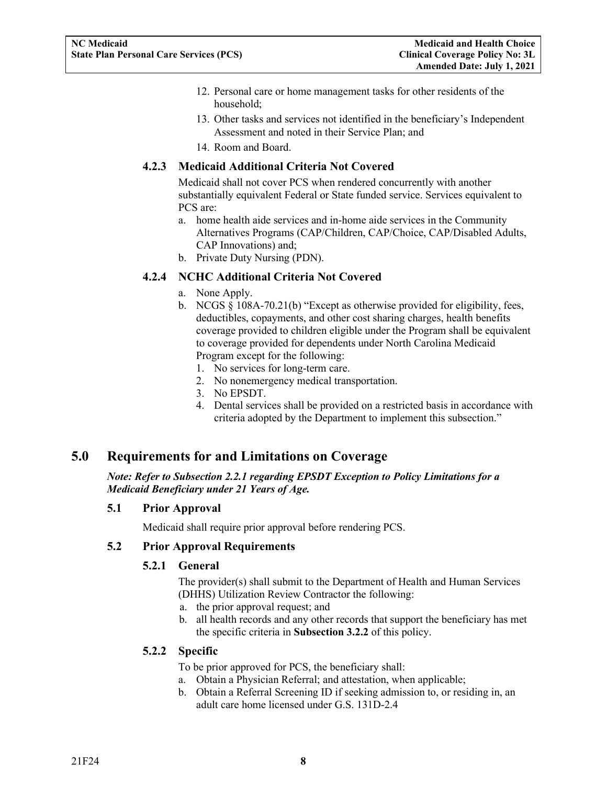- 12. Personal care or home management tasks for other residents of the household;
- 13. Other tasks and services not identified in the beneficiary's Independent Assessment and noted in their Service Plan; and
- 14. Room and Board.

#### <span id="page-10-0"></span>**4.2.3 Medicaid Additional Criteria Not Covered**

Medicaid shall not cover PCS when rendered concurrently with another substantially equivalent Federal or State funded service. Services equivalent to PCS are:

- a. home health aide services and in-home aide services in the Community Alternatives Programs (CAP/Children, CAP/Choice, CAP/Disabled Adults, CAP Innovations) and;
- b. Private Duty Nursing (PDN).

#### <span id="page-10-1"></span>**4.2.4 NCHC Additional Criteria Not Covered**

- a. None Apply.
- b. NCGS § 108A-70.21(b) "Except as otherwise provided for eligibility, fees, deductibles, copayments, and other cost sharing charges, health benefits coverage provided to children eligible under the Program shall be equivalent to coverage provided for dependents under North Carolina Medicaid Program except for the following:
	- 1. No services for long-term care.
	- 2. No nonemergency medical transportation.
	- 3. No EPSDT.
	- 4. Dental services shall be provided on a restricted basis in accordance with criteria adopted by the Department to implement this subsection."

## <span id="page-10-2"></span>**5.0 Requirements for and Limitations on Coverage**

*Note: Refer to Subsection 2.2.1 regarding EPSDT Exception to Policy Limitations for a Medicaid Beneficiary under 21 Years of Age.*

#### <span id="page-10-3"></span>**5.1 Prior Approval**

Medicaid shall require prior approval before rendering PCS.

#### <span id="page-10-5"></span><span id="page-10-4"></span>**5.2 Prior Approval Requirements**

#### **5.2.1 General**

The provider(s) shall submit to the Department of Health and Human Services (DHHS) Utilization Review Contractor the following:

- a. the prior approval request; and
- b. all health records and any other records that support the beneficiary has met the specific criteria in **Subsection 3.2.2** of this policy.

#### <span id="page-10-6"></span>**5.2.2 Specific**

To be prior approved for PCS, the beneficiary shall:

- a. Obtain a Physician Referral; and attestation, when applicable;
- b. Obtain a Referral Screening ID if seeking admission to, or residing in, an adult care home licensed under G.S. 131D-2.4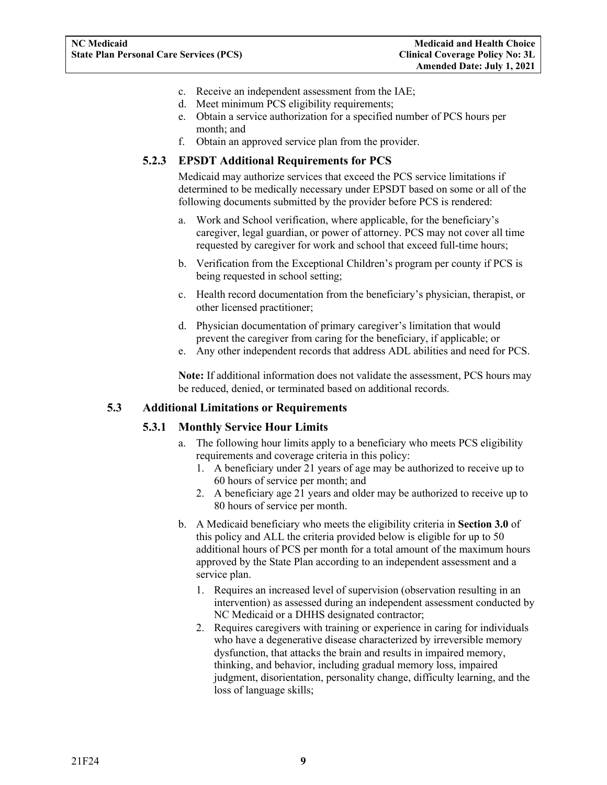- c. Receive an independent assessment from the IAE;
- d. Meet minimum PCS eligibility requirements;
- e. Obtain a service authorization for a specified number of PCS hours per month; and
- f. Obtain an approved service plan from the provider.

#### <span id="page-11-0"></span>**5.2.3 EPSDT Additional Requirements for PCS**

Medicaid may authorize services that exceed the PCS service limitations if determined to be medically necessary under EPSDT based on some or all of the following documents submitted by the provider before PCS is rendered:

- a. Work and School verification, where applicable, for the beneficiary's caregiver, legal guardian, or power of attorney. PCS may not cover all time requested by caregiver for work and school that exceed full-time hours;
- b. Verification from the Exceptional Children's program per county if PCS is being requested in school setting;
- c. Health record documentation from the beneficiary's physician, therapist, or other licensed practitioner;
- d. Physician documentation of primary caregiver's limitation that would prevent the caregiver from caring for the beneficiary, if applicable; or
- e. Any other independent records that address ADL abilities and need for PCS.

**Note:** If additional information does not validate the assessment, PCS hours may be reduced, denied, or terminated based on additional records.

#### <span id="page-11-2"></span><span id="page-11-1"></span>**5.3 Additional Limitations or Requirements**

#### **5.3.1 Monthly Service Hour Limits**

- a. The following hour limits apply to a beneficiary who meets PCS eligibility requirements and coverage criteria in this policy:
	- 1. A beneficiary under 21 years of age may be authorized to receive up to 60 hours of service per month; and
	- 2. A beneficiary age 21 years and older may be authorized to receive up to 80 hours of service per month.
- b. A Medicaid beneficiary who meets the eligibility criteria in **Section 3.0** of this policy and ALL the criteria provided below is eligible for up to 50 additional hours of PCS per month for a total amount of the maximum hours approved by the State Plan according to an independent assessment and a service plan.
	- 1. Requires an increased level of supervision (observation resulting in an intervention) as assessed during an independent assessment conducted by NC Medicaid or a DHHS designated contractor;
	- 2. Requires caregivers with training or experience in caring for individuals who have a degenerative disease characterized by irreversible memory dysfunction, that attacks the brain and results in impaired memory, thinking, and behavior, including gradual memory loss, impaired judgment, disorientation, personality change, difficulty learning, and the loss of language skills;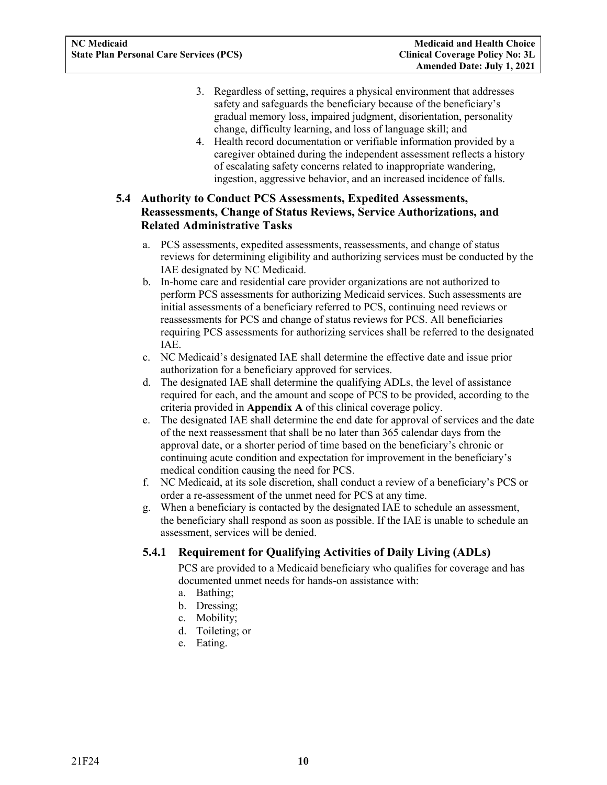- 3. Regardless of setting, requires a physical environment that addresses safety and safeguards the beneficiary because of the beneficiary's gradual memory loss, impaired judgment, disorientation, personality change, difficulty learning, and loss of language skill; and
- 4. Health record documentation or verifiable information provided by a caregiver obtained during the independent assessment reflects a history of escalating safety concerns related to inappropriate wandering, ingestion, aggressive behavior, and an increased incidence of falls.

#### <span id="page-12-0"></span>**5.4 Authority to Conduct PCS Assessments, Expedited Assessments, Reassessments, Change of Status Reviews, Service Authorizations, and Related Administrative Tasks**

- a. PCS assessments, expedited assessments, reassessments, and change of status reviews for determining eligibility and authorizing services must be conducted by the IAE designated by NC Medicaid.
- b. In-home care and residential care provider organizations are not authorized to perform PCS assessments for authorizing Medicaid services. Such assessments are initial assessments of a beneficiary referred to PCS, continuing need reviews or reassessments for PCS and change of status reviews for PCS. All beneficiaries requiring PCS assessments for authorizing services shall be referred to the designated IAE.
- c. NC Medicaid's designated IAE shall determine the effective date and issue prior authorization for a beneficiary approved for services.
- d. The designated IAE shall determine the qualifying ADLs, the level of assistance required for each, and the amount and scope of PCS to be provided, according to the criteria provided in **Appendix A** of this clinical coverage policy.
- e. The designated IAE shall determine the end date for approval of services and the date of the next reassessment that shall be no later than 365 calendar days from the approval date, or a shorter period of time based on the beneficiary's chronic or continuing acute condition and expectation for improvement in the beneficiary's medical condition causing the need for PCS.
- f. NC Medicaid, at its sole discretion, shall conduct a review of a beneficiary's PCS or order a re-assessment of the unmet need for PCS at any time.
- g. When a beneficiary is contacted by the designated IAE to schedule an assessment, the beneficiary shall respond as soon as possible. If the IAE is unable to schedule an assessment, services will be denied.

#### <span id="page-12-1"></span>**5.4.1 Requirement for Qualifying Activities of Daily Living (ADLs)**

PCS are provided to a Medicaid beneficiary who qualifies for coverage and has documented unmet needs for hands-on assistance with:

- a. Bathing;
- b. Dressing;
- c. Mobility;
- d. Toileting; or
- e. Eating.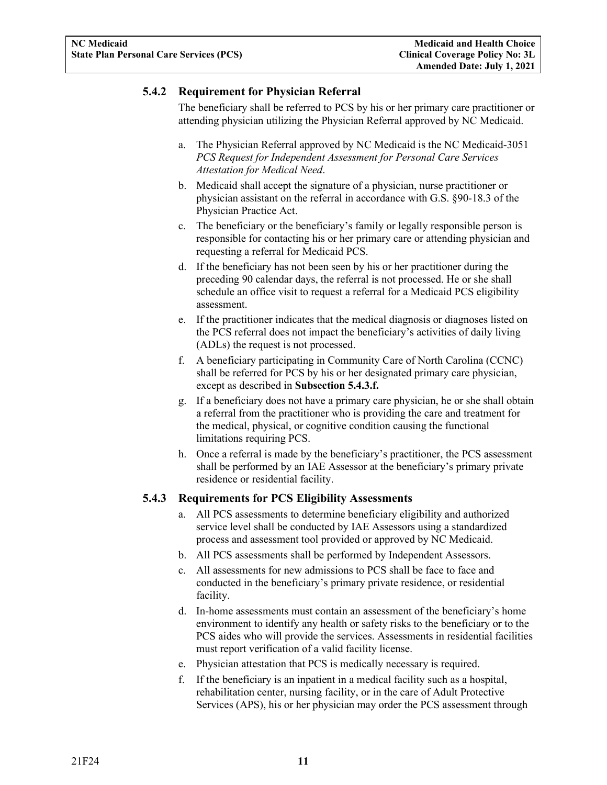#### <span id="page-13-0"></span>**5.4.2 Requirement for Physician Referral**

The beneficiary shall be referred to PCS by his or her primary care practitioner or attending physician utilizing the Physician Referral approved by NC Medicaid.

- a. The Physician Referral approved by NC Medicaid is the NC Medicaid-3051 *PCS Request for Independent Assessment for Personal Care Services Attestation for Medical Need*.
- b. Medicaid shall accept the signature of a physician, nurse practitioner or physician assistant on the referral in accordance with G.S. §90-18.3 of the Physician Practice Act.
- c. The beneficiary or the beneficiary's family or legally responsible person is responsible for contacting his or her primary care or attending physician and requesting a referral for Medicaid PCS.
- d. If the beneficiary has not been seen by his or her practitioner during the preceding 90 calendar days, the referral is not processed. He or she shall schedule an office visit to request a referral for a Medicaid PCS eligibility assessment.
- e. If the practitioner indicates that the medical diagnosis or diagnoses listed on the PCS referral does not impact the beneficiary's activities of daily living (ADLs) the request is not processed.
- f. A beneficiary participating in Community Care of North Carolina (CCNC) shall be referred for PCS by his or her designated primary care physician, except as described in **Subsection 5.4.3.f.**
- g. If a beneficiary does not have a primary care physician, he or she shall obtain a referral from the practitioner who is providing the care and treatment for the medical, physical, or cognitive condition causing the functional limitations requiring PCS.
- h. Once a referral is made by the beneficiary's practitioner, the PCS assessment shall be performed by an IAE Assessor at the beneficiary's primary private residence or residential facility.

#### <span id="page-13-1"></span>**5.4.3 Requirements for PCS Eligibility Assessments**

- a. All PCS assessments to determine beneficiary eligibility and authorized service level shall be conducted by IAE Assessors using a standardized process and assessment tool provided or approved by NC Medicaid.
- b. All PCS assessments shall be performed by Independent Assessors.
- c. All assessments for new admissions to PCS shall be face to face and conducted in the beneficiary's primary private residence, or residential facility.
- d. In-home assessments must contain an assessment of the beneficiary's home environment to identify any health or safety risks to the beneficiary or to the PCS aides who will provide the services. Assessments in residential facilities must report verification of a valid facility license.
- e. Physician attestation that PCS is medically necessary is required.
- f. If the beneficiary is an inpatient in a medical facility such as a hospital, rehabilitation center, nursing facility, or in the care of Adult Protective Services (APS), his or her physician may order the PCS assessment through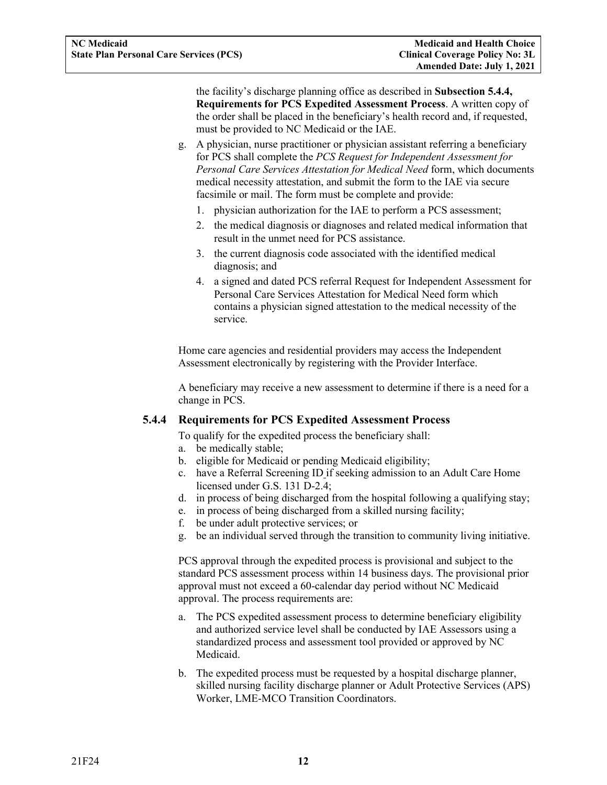the facility's discharge planning office as described in **Subsection 5.4.4, Requirements for PCS Expedited Assessment Process**. A written copy of the order shall be placed in the beneficiary's health record and, if requested, must be provided to NC Medicaid or the IAE.

- g. A physician, nurse practitioner or physician assistant referring a beneficiary for PCS shall complete the *PCS Request for Independent Assessment for Personal Care Services Attestation for Medical Need* form, which documents medical necessity attestation, and submit the form to the IAE via secure facsimile or mail. The form must be complete and provide:
	- 1. physician authorization for the IAE to perform a PCS assessment;
	- 2. the medical diagnosis or diagnoses and related medical information that result in the unmet need for PCS assistance.
	- 3. the current diagnosis code associated with the identified medical diagnosis; and
	- 4. a signed and dated PCS referral Request for Independent Assessment for Personal Care Services Attestation for Medical Need form which contains a physician signed attestation to the medical necessity of the service.

Home care agencies and residential providers may access the Independent Assessment electronically by registering with the Provider Interface.

A beneficiary may receive a new assessment to determine if there is a need for a change in PCS.

#### <span id="page-14-0"></span>**5.4.4 Requirements for PCS Expedited Assessment Process**

To qualify for the expedited process the beneficiary shall:

- a. be medically stable;
- b. eligible for Medicaid or pending Medicaid eligibility;
- c. have a Referral Screening ID if seeking admission to an Adult Care Home licensed under G.S. 131 D-2.4;
- d. in process of being discharged from the hospital following a qualifying stay;
- e. in process of being discharged from a skilled nursing facility;
- f. be under adult protective services; or
- g. be an individual served through the transition to community living initiative.

PCS approval through the expedited process is provisional and subject to the standard PCS assessment process within 14 business days. The provisional prior approval must not exceed a 60-calendar day period without NC Medicaid approval. The process requirements are:

- a. The PCS expedited assessment process to determine beneficiary eligibility and authorized service level shall be conducted by IAE Assessors using a standardized process and assessment tool provided or approved by NC Medicaid.
- b. The expedited process must be requested by a hospital discharge planner, skilled nursing facility discharge planner or Adult Protective Services (APS) Worker, LME-MCO Transition Coordinators.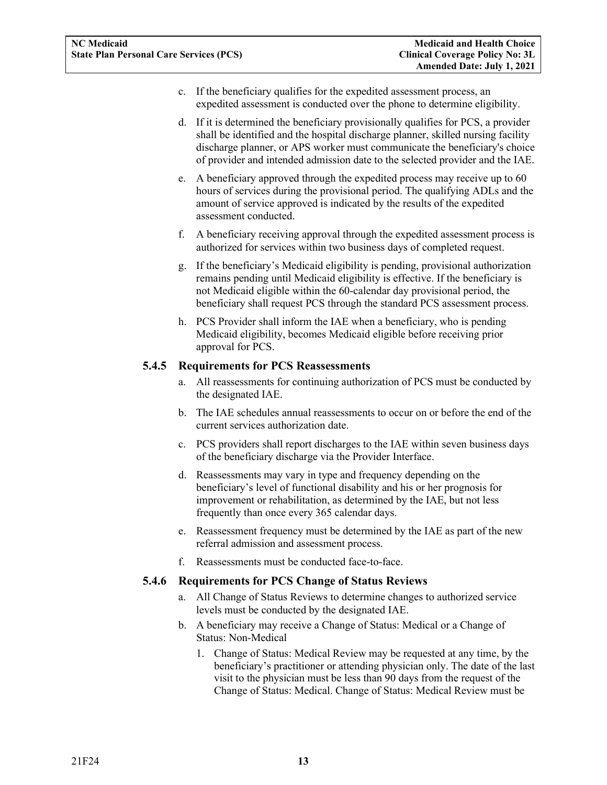- c. If the beneficiary qualifies for the expedited assessment process, an expedited assessment is conducted over the phone to determine eligibility.
- d. If it is determined the beneficiary provisionally qualifies for PCS, a provider shall be identified and the hospital discharge planner, skilled nursing facility discharge planner, or APS worker must communicate the beneficiary's choice of provider and intended admission date to the selected provider and the IAE.
- e. A beneficiary approved through the expedited process may receive up to 60 hours of services during the provisional period. The qualifying ADLs and the amount of service approved is indicated by the results of the expedited assessment conducted.
- f. A beneficiary receiving approval through the expedited assessment process is authorized for services within two business days of completed request.
- g. If the beneficiary's Medicaid eligibility is pending, provisional authorization remains pending until Medicaid eligibility is effective. If the beneficiary is not Medicaid eligible within the 60-calendar day provisional period, the beneficiary shall request PCS through the standard PCS assessment process.
- h. PCS Provider shall inform the IAE when a beneficiary, who is pending Medicaid eligibility, becomes Medicaid eligible before receiving prior approval for PCS.

#### <span id="page-15-0"></span>**5.4.5 Requirements for PCS Reassessments**

- a. All reassessments for continuing authorization of PCS must be conducted by the designated IAE.
- b. The IAE schedules annual reassessments to occur on or before the end of the current services authorization date.
- c. PCS providers shall report discharges to the IAE within seven business days of the beneficiary discharge via the Provider Interface.
- d. Reassessments may vary in type and frequency depending on the beneficiary's level of functional disability and his or her prognosis for improvement or rehabilitation, as determined by the IAE, but not less frequently than once every 365 calendar days.
- e. Reassessment frequency must be determined by the IAE as part of the new referral admission and assessment process.
- f. Reassessments must be conducted face-to-face.

#### <span id="page-15-1"></span>**5.4.6 Requirements for PCS Change of Status Reviews**

- a. All Change of Status Reviews to determine changes to authorized service levels must be conducted by the designated IAE.
- b. A beneficiary may receive a Change of Status: Medical or a Change of Status: Non-Medical
	- 1. Change of Status: Medical Review may be requested at any time, by the beneficiary's practitioner or attending physician only. The date of the last visit to the physician must be less than 90 days from the request of the Change of Status: Medical. Change of Status: Medical Review must be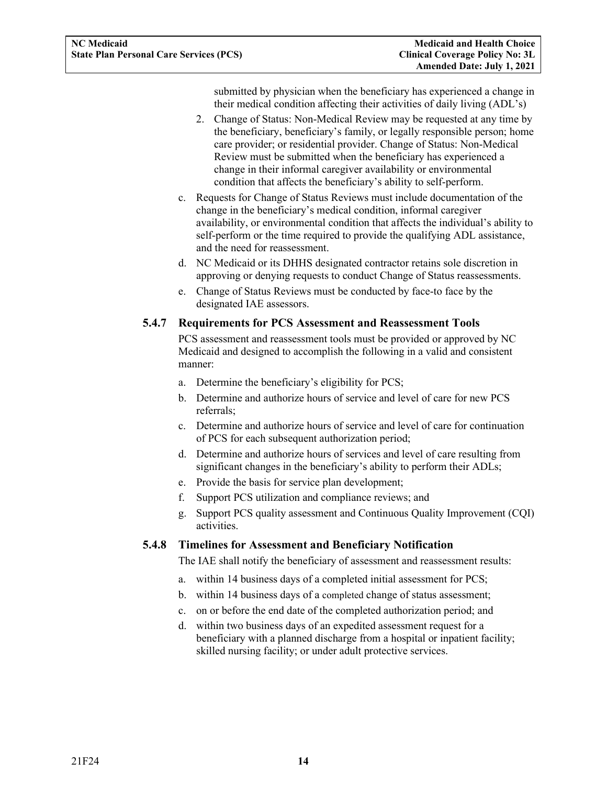submitted by physician when the beneficiary has experienced a change in their medical condition affecting their activities of daily living (ADL's)

- 2. Change of Status: Non-Medical Review may be requested at any time by the beneficiary, beneficiary's family, or legally responsible person; home care provider; or residential provider. Change of Status: Non-Medical Review must be submitted when the beneficiary has experienced a change in their informal caregiver availability or environmental condition that affects the beneficiary's ability to self-perform.
- c. Requests for Change of Status Reviews must include documentation of the change in the beneficiary's medical condition, informal caregiver availability, or environmental condition that affects the individual's ability to self-perform or the time required to provide the qualifying ADL assistance, and the need for reassessment.
- d. NC Medicaid or its DHHS designated contractor retains sole discretion in approving or denying requests to conduct Change of Status reassessments.
- e. Change of Status Reviews must be conducted by face-to face by the designated IAE assessors.

#### <span id="page-16-0"></span>**5.4.7 Requirements for PCS Assessment and Reassessment Tools**

PCS assessment and reassessment tools must be provided or approved by NC Medicaid and designed to accomplish the following in a valid and consistent manner:

- a. Determine the beneficiary's eligibility for PCS;
- b. Determine and authorize hours of service and level of care for new PCS referrals;
- c. Determine and authorize hours of service and level of care for continuation of PCS for each subsequent authorization period;
- d. Determine and authorize hours of services and level of care resulting from significant changes in the beneficiary's ability to perform their ADLs;
- e. Provide the basis for service plan development;
- f. Support PCS utilization and compliance reviews; and
- g. Support PCS quality assessment and Continuous Quality Improvement (CQI) activities.

#### <span id="page-16-1"></span>**5.4.8 Timelines for Assessment and Beneficiary Notification**

The IAE shall notify the beneficiary of assessment and reassessment results:

- a. within 14 business days of a completed initial assessment for PCS;
- b. within 14 business days of a completed change of status assessment;
- c. on or before the end date of the completed authorization period; and
- d. within two business days of an expedited assessment request for a beneficiary with a planned discharge from a hospital or inpatient facility; skilled nursing facility; or under adult protective services.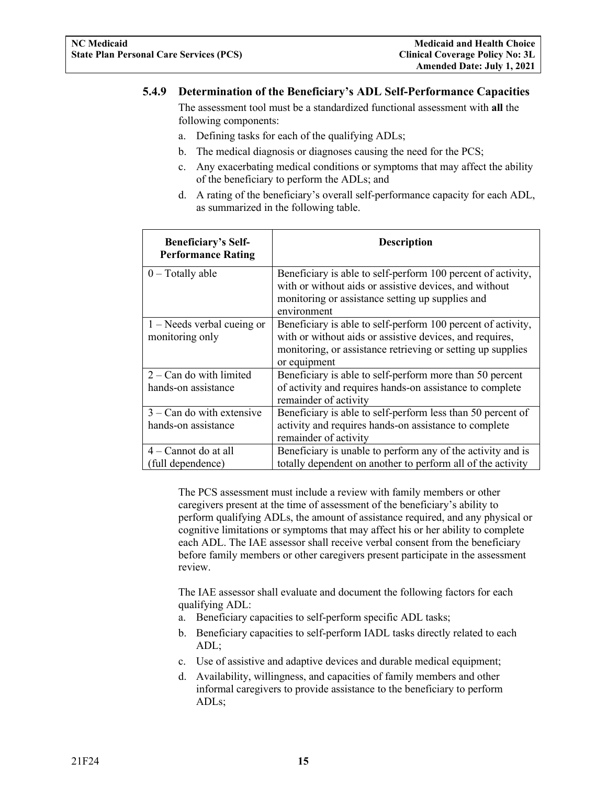#### <span id="page-17-0"></span>**5.4.9 Determination of the Beneficiary's ADL Self-Performance Capacities**

The assessment tool must be a standardized functional assessment with **all** the following components:

- a. Defining tasks for each of the qualifying ADLs;
- b. The medical diagnosis or diagnoses causing the need for the PCS;
- c. Any exacerbating medical conditions or symptoms that may affect the ability of the beneficiary to perform the ADLs; and
- d. A rating of the beneficiary's overall self-performance capacity for each ADL, as summarized in the following table.

| <b>Beneficiary's Self-</b><br><b>Performance Rating</b> | <b>Description</b>                                                                                                                                                                                      |
|---------------------------------------------------------|---------------------------------------------------------------------------------------------------------------------------------------------------------------------------------------------------------|
| $0$ – Totally able                                      | Beneficiary is able to self-perform 100 percent of activity,<br>with or without aids or assistive devices, and without<br>monitoring or assistance setting up supplies and<br>environment               |
| $1 -$ Needs verbal cueing or<br>monitoring only         | Beneficiary is able to self-perform 100 percent of activity,<br>with or without aids or assistive devices, and requires,<br>monitoring, or assistance retrieving or setting up supplies<br>or equipment |
| $2 - Can$ do with limited<br>hands-on assistance        | Beneficiary is able to self-perform more than 50 percent<br>of activity and requires hands-on assistance to complete<br>remainder of activity                                                           |
| $3 - Can$ do with extensive<br>hands-on assistance      | Beneficiary is able to self-perform less than 50 percent of<br>activity and requires hands-on assistance to complete<br>remainder of activity                                                           |
| $4 -$ Cannot do at all<br>(full dependence)             | Beneficiary is unable to perform any of the activity and is<br>totally dependent on another to perform all of the activity                                                                              |

The PCS assessment must include a review with family members or other caregivers present at the time of assessment of the beneficiary's ability to perform qualifying ADLs, the amount of assistance required, and any physical or cognitive limitations or symptoms that may affect his or her ability to complete each ADL. The IAE assessor shall receive verbal consent from the beneficiary before family members or other caregivers present participate in the assessment review.

The IAE assessor shall evaluate and document the following factors for each qualifying ADL:

- a. Beneficiary capacities to self-perform specific ADL tasks;
- b. Beneficiary capacities to self-perform IADL tasks directly related to each ADL;
- c. Use of assistive and adaptive devices and durable medical equipment;
- d. Availability, willingness, and capacities of family members and other informal caregivers to provide assistance to the beneficiary to perform ADLs;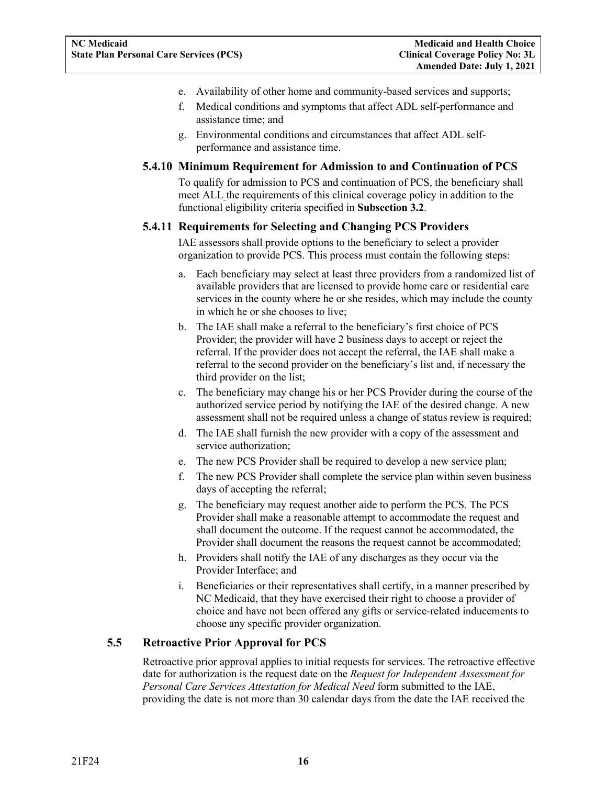- e. Availability of other home and community-based services and supports;
- f. Medical conditions and symptoms that affect ADL self-performance and assistance time; and
- g. Environmental conditions and circumstances that affect ADL selfperformance and assistance time.

#### <span id="page-18-0"></span>**5.4.10 Minimum Requirement for Admission to and Continuation of PCS**

To qualify for admission to PCS and continuation of PCS, the beneficiary shall meet ALL the requirements of this clinical coverage policy in addition to the functional eligibility criteria specified in **Subsection 3.2**.

#### <span id="page-18-1"></span>**5.4.11 Requirements for Selecting and Changing PCS Providers**

IAE assessors shall provide options to the beneficiary to select a provider organization to provide PCS. This process must contain the following steps:

- a. Each beneficiary may select at least three providers from a randomized list of available providers that are licensed to provide home care or residential care services in the county where he or she resides, which may include the county in which he or she chooses to live;
- b. The IAE shall make a referral to the beneficiary's first choice of PCS Provider; the provider will have 2 business days to accept or reject the referral. If the provider does not accept the referral, the IAE shall make a referral to the second provider on the beneficiary's list and, if necessary the third provider on the list;
- c. The beneficiary may change his or her PCS Provider during the course of the authorized service period by notifying the IAE of the desired change. A new assessment shall not be required unless a change of status review is required;
- d. The IAE shall furnish the new provider with a copy of the assessment and service authorization;
- e. The new PCS Provider shall be required to develop a new service plan;
- f. The new PCS Provider shall complete the service plan within seven business days of accepting the referral;
- g. The beneficiary may request another aide to perform the PCS. The PCS Provider shall make a reasonable attempt to accommodate the request and shall document the outcome. If the request cannot be accommodated, the Provider shall document the reasons the request cannot be accommodated;
- h. Providers shall notify the IAE of any discharges as they occur via the Provider Interface; and
- i. Beneficiaries or their representatives shall certify, in a manner prescribed by NC Medicaid, that they have exercised their right to choose a provider of choice and have not been offered any gifts or service-related inducements to choose any specific provider organization.

#### <span id="page-18-2"></span>**5.5 Retroactive Prior Approval for PCS**

Retroactive prior approval applies to initial requests for services. The retroactive effective date for authorization is the request date on the *Request for Independent Assessment for Personal Care Services Attestation for Medical Need* form submitted to the IAE, providing the date is not more than 30 calendar days from the date the IAE received the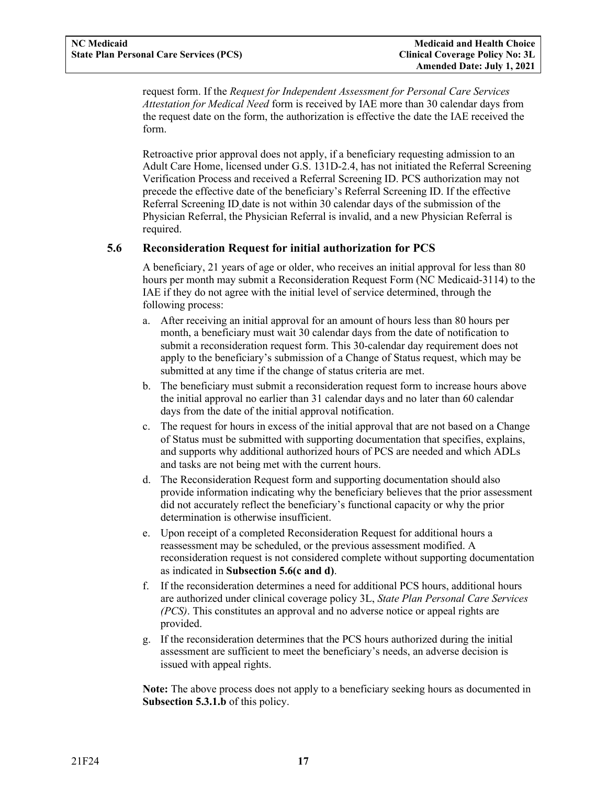request form. If the *Request for Independent Assessment for Personal Care Services Attestation for Medical Need* form is received by IAE more than 30 calendar days from the request date on the form, the authorization is effective the date the IAE received the form.

Retroactive prior approval does not apply, if a beneficiary requesting admission to an Adult Care Home, licensed under G.S. 131D-2.4, has not initiated the Referral Screening Verification Process and received a Referral Screening ID. PCS authorization may not precede the effective date of the beneficiary's Referral Screening ID. If the effective Referral Screening ID date is not within 30 calendar days of the submission of the Physician Referral, the Physician Referral is invalid, and a new Physician Referral is required.

#### <span id="page-19-0"></span>**5.6 Reconsideration Request for initial authorization for PCS**

A beneficiary, 21 years of age or older, who receives an initial approval for less than 80 hours per month may submit a Reconsideration Request Form (NC Medicaid-3114) to the IAE if they do not agree with the initial level of service determined, through the following process:

- a. After receiving an initial approval for an amount of hours less than 80 hours per month, a beneficiary must wait 30 calendar days from the date of notification to submit a reconsideration request form. This 30-calendar day requirement does not apply to the beneficiary's submission of a Change of Status request, which may be submitted at any time if the change of status criteria are met.
- b. The beneficiary must submit a reconsideration request form to increase hours above the initial approval no earlier than 31 calendar days and no later than 60 calendar days from the date of the initial approval notification.
- c. The request for hours in excess of the initial approval that are not based on a Change of Status must be submitted with supporting documentation that specifies, explains, and supports why additional authorized hours of PCS are needed and which ADLs and tasks are not being met with the current hours.
- d. The Reconsideration Request form and supporting documentation should also provide information indicating why the beneficiary believes that the prior assessment did not accurately reflect the beneficiary's functional capacity or why the prior determination is otherwise insufficient.
- e. Upon receipt of a completed Reconsideration Request for additional hours a reassessment may be scheduled, or the previous assessment modified. A reconsideration request is not considered complete without supporting documentation as indicated in **Subsection 5.6(c and d)**.
- f. If the reconsideration determines a need for additional PCS hours, additional hours are authorized under clinical coverage policy 3L, *State Plan Personal Care Services (PCS)*. This constitutes an approval and no adverse notice or appeal rights are provided.
- g. If the reconsideration determines that the PCS hours authorized during the initial assessment are sufficient to meet the beneficiary's needs, an adverse decision is issued with appeal rights.

**Note:** The above process does not apply to a beneficiary seeking hours as documented in **Subsection 5.3.1.b** of this policy.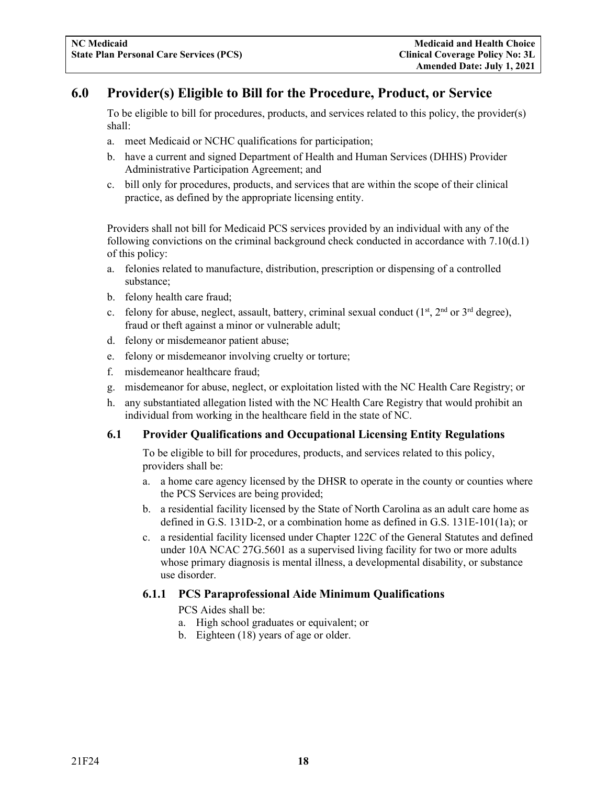## <span id="page-20-0"></span>**6.0 Provider(s) Eligible to Bill for the Procedure, Product, or Service**

To be eligible to bill for procedures, products, and services related to this policy, the provider(s) shall:

- a. meet Medicaid or NCHC qualifications for participation;
- b. have a current and signed Department of Health and Human Services (DHHS) Provider Administrative Participation Agreement; and
- c. bill only for procedures, products, and services that are within the scope of their clinical practice, as defined by the appropriate licensing entity.

Providers shall not bill for Medicaid PCS services provided by an individual with any of the following convictions on the criminal background check conducted in accordance with 7.10(d.1) of this policy:

- a. felonies related to manufacture, distribution, prescription or dispensing of a controlled substance;
- b. felony health care fraud;
- c. felony for abuse, neglect, assault, battery, criminal sexual conduct  $(1<sup>st</sup>, 2<sup>nd</sup> or 3<sup>rd</sup> degree)$ , fraud or theft against a minor or vulnerable adult;
- d. felony or misdemeanor patient abuse;
- e. felony or misdemeanor involving cruelty or torture;
- f. misdemeanor healthcare fraud;
- g. misdemeanor for abuse, neglect, or exploitation listed with the NC Health Care Registry; or
- h. any substantiated allegation listed with the NC Health Care Registry that would prohibit an individual from working in the healthcare field in the state of NC.

#### <span id="page-20-1"></span>**6.1 Provider Qualifications and Occupational Licensing Entity Regulations**

To be eligible to bill for procedures, products, and services related to this policy, providers shall be:

- a. a home care agency licensed by the DHSR to operate in the county or counties where the PCS Services are being provided;
- b. a residential facility licensed by the State of North Carolina as an adult care home as defined in G.S. 131D-2, or a combination home as defined in G.S. 131E-101(1a); or
- c. a residential facility licensed under Chapter 122C of the General Statutes and defined under 10A NCAC 27G.5601 as a supervised living facility for two or more adults whose primary diagnosis is mental illness, a developmental disability, or substance use disorder.

#### <span id="page-20-2"></span>**6.1.1 PCS Paraprofessional Aide Minimum Qualifications**

PCS Aides shall be:

- a. High school graduates or equivalent; or
- b. Eighteen (18) years of age or older.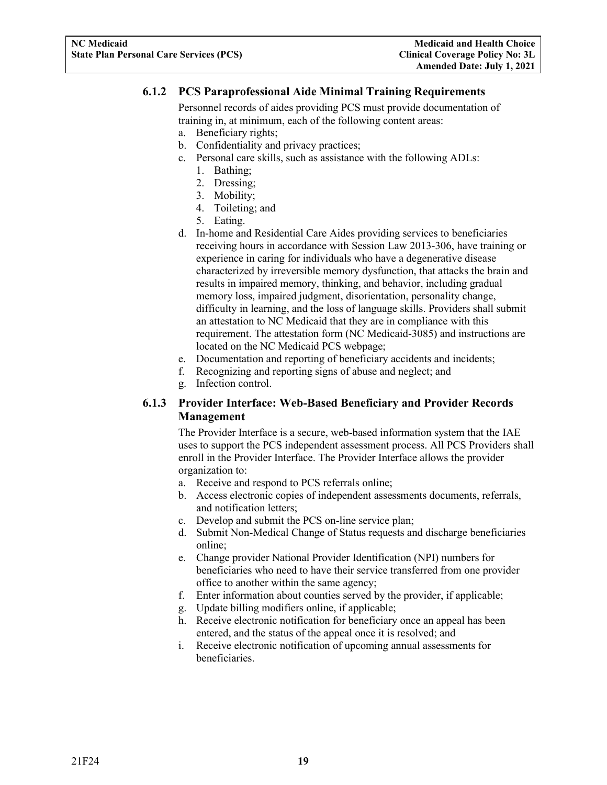#### <span id="page-21-0"></span>**6.1.2 PCS Paraprofessional Aide Minimal Training Requirements**

Personnel records of aides providing PCS must provide documentation of training in, at minimum, each of the following content areas:

- a. Beneficiary rights;
- b. Confidentiality and privacy practices;
- c. Personal care skills, such as assistance with the following ADLs:
	- 1. Bathing;
	- 2. Dressing;
	- 3. Mobility;
	- 4. Toileting; and
	- 5. Eating.
- d. In-home and Residential Care Aides providing services to beneficiaries receiving hours in accordance with Session Law 2013-306, have training or experience in caring for individuals who have a degenerative disease characterized by irreversible memory dysfunction, that attacks the brain and results in impaired memory, thinking, and behavior, including gradual memory loss, impaired judgment, disorientation, personality change, difficulty in learning, and the loss of language skills. Providers shall submit an attestation to NC Medicaid that they are in compliance with this requirement. The attestation form (NC Medicaid-3085) and instructions are located on the NC Medicaid PCS webpage;
- e. Documentation and reporting of beneficiary accidents and incidents;
- f. Recognizing and reporting signs of abuse and neglect; and
- g. Infection control.

#### <span id="page-21-1"></span>**6.1.3 Provider Interface: Web-Based Beneficiary and Provider Records Management**

The Provider Interface is a secure, web-based information system that the IAE uses to support the PCS independent assessment process. All PCS Providers shall enroll in the Provider Interface. The Provider Interface allows the provider organization to:

- a. Receive and respond to PCS referrals online;
- b. Access electronic copies of independent assessments documents, referrals, and notification letters;
- c. Develop and submit the PCS on-line service plan;
- d. Submit Non-Medical Change of Status requests and discharge beneficiaries online;
- e. Change provider National Provider Identification (NPI) numbers for beneficiaries who need to have their service transferred from one provider office to another within the same agency;
- f. Enter information about counties served by the provider, if applicable;
- g. Update billing modifiers online, if applicable;
- h. Receive electronic notification for beneficiary once an appeal has been entered, and the status of the appeal once it is resolved; and
- i. Receive electronic notification of upcoming annual assessments for beneficiaries.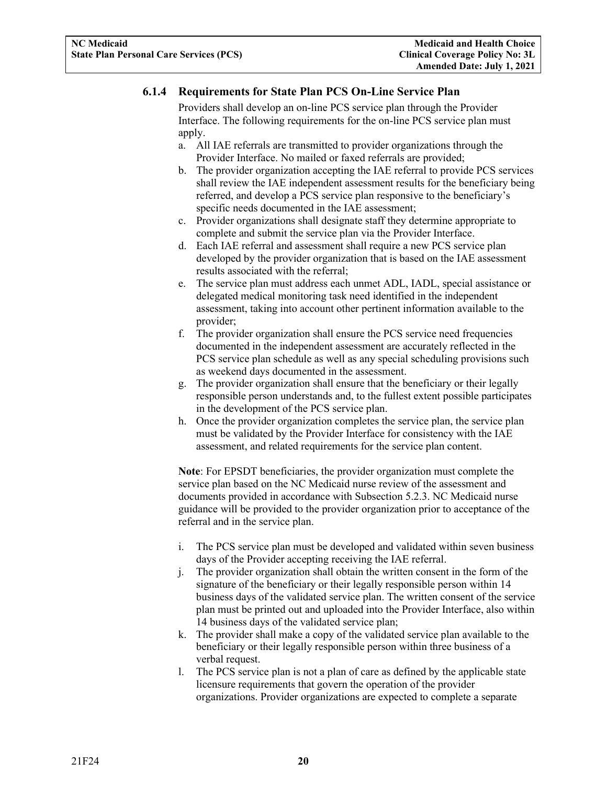#### <span id="page-22-0"></span>**6.1.4 Requirements for State Plan PCS On-Line Service Plan**

Providers shall develop an on-line PCS service plan through the Provider Interface. The following requirements for the on-line PCS service plan must apply.

- a. All IAE referrals are transmitted to provider organizations through the Provider Interface. No mailed or faxed referrals are provided;
- b. The provider organization accepting the IAE referral to provide PCS services shall review the IAE independent assessment results for the beneficiary being referred, and develop a PCS service plan responsive to the beneficiary's specific needs documented in the IAE assessment;
- c. Provider organizations shall designate staff they determine appropriate to complete and submit the service plan via the Provider Interface.
- d. Each IAE referral and assessment shall require a new PCS service plan developed by the provider organization that is based on the IAE assessment results associated with the referral;
- e. The service plan must address each unmet ADL, IADL, special assistance or delegated medical monitoring task need identified in the independent assessment, taking into account other pertinent information available to the provider;
- f. The provider organization shall ensure the PCS service need frequencies documented in the independent assessment are accurately reflected in the PCS service plan schedule as well as any special scheduling provisions such as weekend days documented in the assessment.
- g. The provider organization shall ensure that the beneficiary or their legally responsible person understands and, to the fullest extent possible participates in the development of the PCS service plan.
- h. Once the provider organization completes the service plan, the service plan must be validated by the Provider Interface for consistency with the IAE assessment, and related requirements for the service plan content.

**Note**: For EPSDT beneficiaries, the provider organization must complete the service plan based on the NC Medicaid nurse review of the assessment and documents provided in accordance with Subsection 5.2.3. NC Medicaid nurse guidance will be provided to the provider organization prior to acceptance of the referral and in the service plan.

- i. The PCS service plan must be developed and validated within seven business days of the Provider accepting receiving the IAE referral.
- j. The provider organization shall obtain the written consent in the form of the signature of the beneficiary or their legally responsible person within 14 business days of the validated service plan. The written consent of the service plan must be printed out and uploaded into the Provider Interface, also within 14 business days of the validated service plan;
- k. The provider shall make a copy of the validated service plan available to the beneficiary or their legally responsible person within three business of a verbal request.
- l. The PCS service plan is not a plan of care as defined by the applicable state licensure requirements that govern the operation of the provider organizations. Provider organizations are expected to complete a separate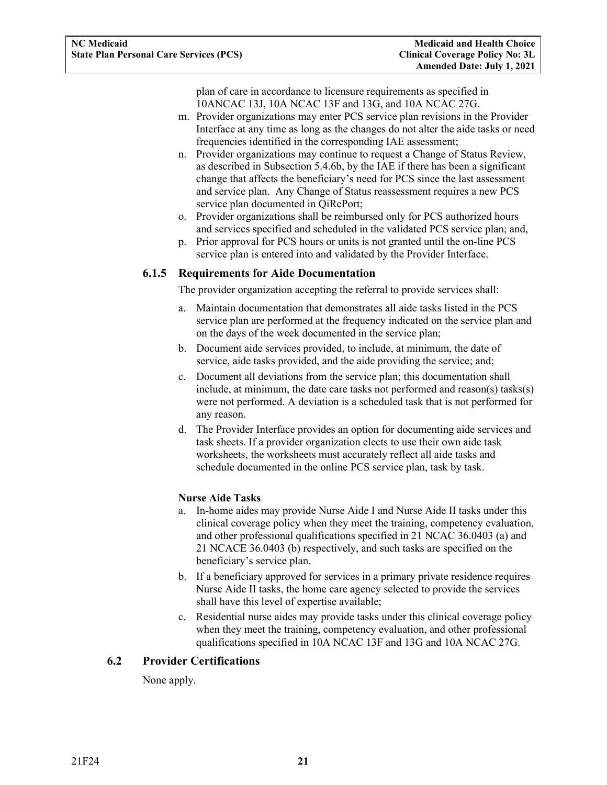plan of care in accordance to licensure requirements as specified in 10ANCAC 13J, 10A NCAC 13F and 13G, and 10A NCAC 27G.

- m. Provider organizations may enter PCS service plan revisions in the Provider Interface at any time as long as the changes do not alter the aide tasks or need frequencies identified in the corresponding IAE assessment;
- n. Provider organizations may continue to request a Change of Status Review, as described in Subsection 5.4.6b, by the IAE if there has been a significant change that affects the beneficiary's need for PCS since the last assessment and service plan. Any Change of Status reassessment requires a new PCS service plan documented in QiRePort;
- o. Provider organizations shall be reimbursed only for PCS authorized hours and services specified and scheduled in the validated PCS service plan; and,
- p. Prior approval for PCS hours or units is not granted until the on-line PCS service plan is entered into and validated by the Provider Interface.

#### <span id="page-23-0"></span>**6.1.5 Requirements for Aide Documentation**

The provider organization accepting the referral to provide services shall:

- a. Maintain documentation that demonstrates all aide tasks listed in the PCS service plan are performed at the frequency indicated on the service plan and on the days of the week documented in the service plan;
- b. Document aide services provided, to include, at minimum, the date of service, aide tasks provided, and the aide providing the service; and;
- c. Document all deviations from the service plan; this documentation shall include, at minimum, the date care tasks not performed and reason(s) tasks(s) were not performed. A deviation is a scheduled task that is not performed for any reason.
- d. The Provider Interface provides an option for documenting aide services and task sheets. If a provider organization elects to use their own aide task worksheets, the worksheets must accurately reflect all aide tasks and schedule documented in the online PCS service plan, task by task.

#### **Nurse Aide Tasks**

- a. In-home aides may provide Nurse Aide I and Nurse Aide II tasks under this clinical coverage policy when they meet the training, competency evaluation, and other professional qualifications specified in 21 NCAC 36.0403 (a) and 21 NCACE 36.0403 (b) respectively, and such tasks are specified on the beneficiary's service plan.
- b. If a beneficiary approved for services in a primary private residence requires Nurse Aide II tasks, the home care agency selected to provide the services shall have this level of expertise available;
- c. Residential nurse aides may provide tasks under this clinical coverage policy when they meet the training, competency evaluation, and other professional qualifications specified in 10A NCAC 13F and 13G and 10A NCAC 27G.

#### <span id="page-23-1"></span>**6.2 Provider Certifications**

None apply.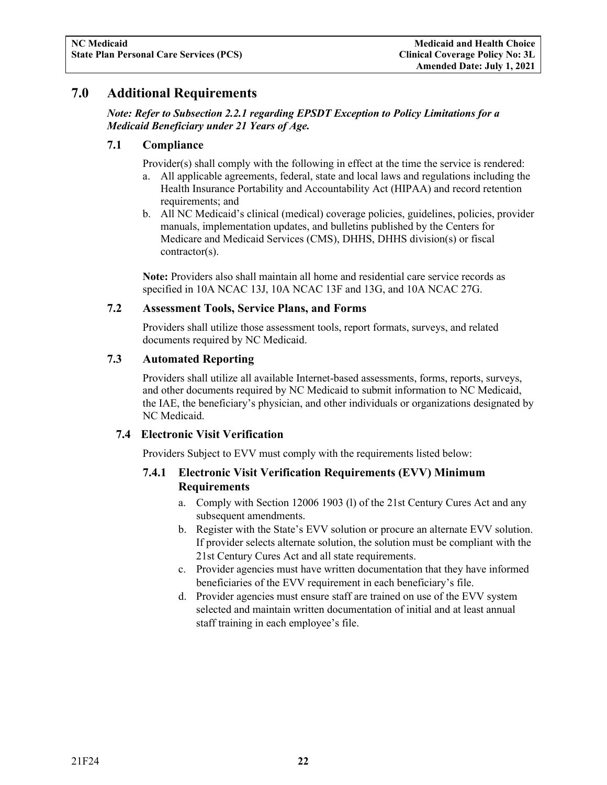## <span id="page-24-0"></span>**7.0 Additional Requirements**

#### *Note: Refer to Subsection 2.2.1 regarding EPSDT Exception to Policy Limitations for a Medicaid Beneficiary under 21 Years of Age.*

#### <span id="page-24-1"></span>**7.1 Compliance**

Provider(s) shall comply with the following in effect at the time the service is rendered:

- a. All applicable agreements, federal, state and local laws and regulations including the Health Insurance Portability and Accountability Act (HIPAA) and record retention requirements; and
- b. All NC Medicaid's clinical (medical) coverage policies, guidelines, policies, provider manuals, implementation updates, and bulletins published by the Centers for Medicare and Medicaid Services (CMS), DHHS, DHHS division(s) or fiscal contractor(s).

**Note:** Providers also shall maintain all home and residential care service records as specified in 10A NCAC 13J, 10A NCAC 13F and 13G, and 10A NCAC 27G.

#### <span id="page-24-2"></span>**7.2 Assessment Tools, Service Plans, and Forms**

Providers shall utilize those assessment tools, report formats, surveys, and related documents required by NC Medicaid.

#### <span id="page-24-3"></span>**7.3 Automated Reporting**

Providers shall utilize all available Internet-based assessments, forms, reports, surveys, and other documents required by NC Medicaid to submit information to NC Medicaid, the IAE, the beneficiary's physician, and other individuals or organizations designated by NC Medicaid.

#### <span id="page-24-5"></span><span id="page-24-4"></span>**7.4 Electronic Visit Verification**

Providers Subject to EVV must comply with the requirements listed below:

#### **7.4.1 Electronic Visit Verification Requirements (EVV) Minimum Requirements**

- a. Comply with Section 12006 1903 (l) of the 21st Century Cures Act and any subsequent amendments.
- b. Register with the State's EVV solution or procure an alternate EVV solution. If provider selects alternate solution, the solution must be compliant with the 21st Century Cures Act and all state requirements.
- c. Provider agencies must have written documentation that they have informed beneficiaries of the EVV requirement in each beneficiary's file.
- d. Provider agencies must ensure staff are trained on use of the EVV system selected and maintain written documentation of initial and at least annual staff training in each employee's file.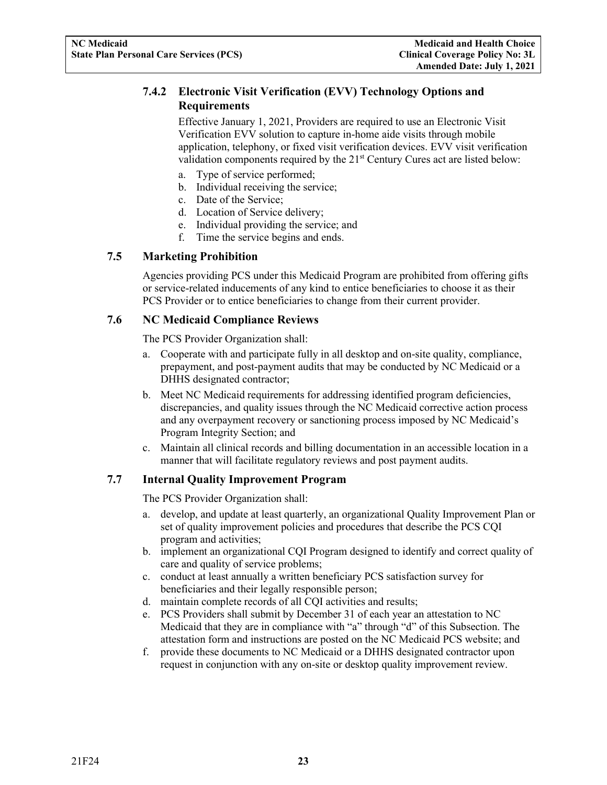#### <span id="page-25-0"></span>**7.4.2 Electronic Visit Verification (EVV) Technology Options and Requirements**

Effective January 1, 2021, Providers are required to use an Electronic Visit Verification EVV solution to capture in-home aide visits through mobile application, telephony, or fixed visit verification devices. EVV visit verification validation components required by the 21<sup>st</sup> Century Cures act are listed below:

- a. Type of service performed;
- b. Individual receiving the service;
- c. Date of the Service;
- d. Location of Service delivery;
- e. Individual providing the service; and
- f. Time the service begins and ends.

#### <span id="page-25-1"></span>**7.5 Marketing Prohibition**

Agencies providing PCS under this Medicaid Program are prohibited from offering gifts or service-related inducements of any kind to entice beneficiaries to choose it as their PCS Provider or to entice beneficiaries to change from their current provider.

#### <span id="page-25-2"></span>**7.6 NC Medicaid Compliance Reviews**

The PCS Provider Organization shall:

- a. Cooperate with and participate fully in all desktop and on-site quality, compliance, prepayment, and post-payment audits that may be conducted by NC Medicaid or a DHHS designated contractor;
- b. Meet NC Medicaid requirements for addressing identified program deficiencies, discrepancies, and quality issues through the NC Medicaid corrective action process and any overpayment recovery or sanctioning process imposed by NC Medicaid's Program Integrity Section; and
- c. Maintain all clinical records and billing documentation in an accessible location in a manner that will facilitate regulatory reviews and post payment audits.

#### <span id="page-25-3"></span>**7.7 Internal Quality Improvement Program**

The PCS Provider Organization shall:

- a. develop, and update at least quarterly, an organizational Quality Improvement Plan or set of quality improvement policies and procedures that describe the PCS CQI program and activities;
- b. implement an organizational CQI Program designed to identify and correct quality of care and quality of service problems;
- c. conduct at least annually a written beneficiary PCS satisfaction survey for beneficiaries and their legally responsible person;
- d. maintain complete records of all CQI activities and results;
- e. PCS Providers shall submit by December 31 of each year an attestation to NC Medicaid that they are in compliance with "a" through "d" of this Subsection. The attestation form and instructions are posted on the NC Medicaid PCS website; and
- f. provide these documents to NC Medicaid or a DHHS designated contractor upon request in conjunction with any on-site or desktop quality improvement review.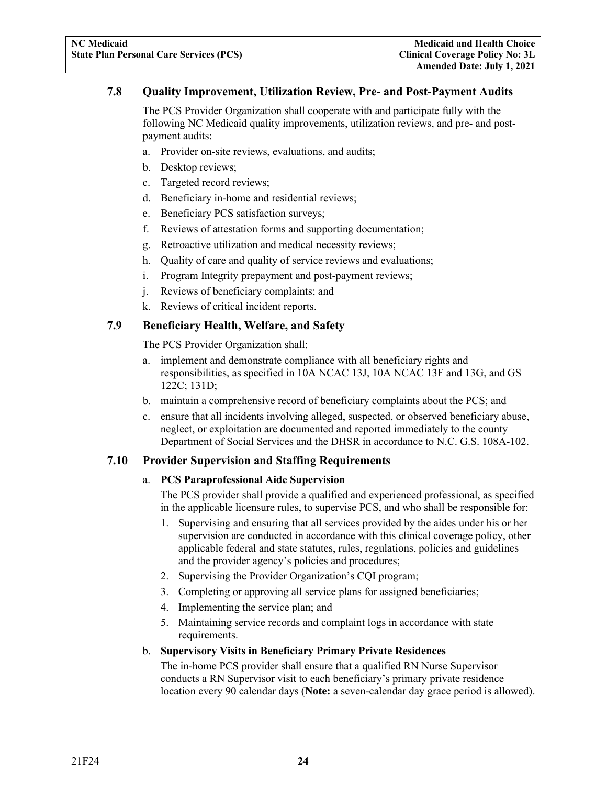#### <span id="page-26-0"></span>**7.8 Quality Improvement, Utilization Review, Pre- and Post-Payment Audits**

The PCS Provider Organization shall cooperate with and participate fully with the following NC Medicaid quality improvements, utilization reviews, and pre- and postpayment audits:

- a. Provider on-site reviews, evaluations, and audits;
- b. Desktop reviews;
- c. Targeted record reviews;
- d. Beneficiary in-home and residential reviews;
- e. Beneficiary PCS satisfaction surveys;
- f. Reviews of attestation forms and supporting documentation;
- g. Retroactive utilization and medical necessity reviews;
- h. Quality of care and quality of service reviews and evaluations;
- i. Program Integrity prepayment and post-payment reviews;
- j. Reviews of beneficiary complaints; and
- k. Reviews of critical incident reports.

#### <span id="page-26-1"></span>**7.9 Beneficiary Health, Welfare, and Safety**

The PCS Provider Organization shall:

- a. implement and demonstrate compliance with all beneficiary rights and responsibilities, as specified in 10A NCAC 13J, 10A NCAC 13F and 13G, and GS 122C; 131D;
- b. maintain a comprehensive record of beneficiary complaints about the PCS; and
- c. ensure that all incidents involving alleged, suspected, or observed beneficiary abuse, neglect, or exploitation are documented and reported immediately to the county Department of Social Services and the DHSR in accordance to N.C. G.S. 108A-102.

#### <span id="page-26-2"></span>**7.10 Provider Supervision and Staffing Requirements**

#### a. **PCS Paraprofessional Aide Supervision**

The PCS provider shall provide a qualified and experienced professional, as specified in the applicable licensure rules, to supervise PCS, and who shall be responsible for:

- 1. Supervising and ensuring that all services provided by the aides under his or her supervision are conducted in accordance with this clinical coverage policy, other applicable federal and state statutes, rules, regulations, policies and guidelines and the provider agency's policies and procedures;
- 2. Supervising the Provider Organization's CQI program;
- 3. Completing or approving all service plans for assigned beneficiaries;
- 4. Implementing the service plan; and
- 5. Maintaining service records and complaint logs in accordance with state requirements.

#### b. **Supervisory Visits in Beneficiary Primary Private Residences**

The in-home PCS provider shall ensure that a qualified RN Nurse Supervisor conducts a RN Supervisor visit to each beneficiary's primary private residence location every 90 calendar days (**Note:** a seven-calendar day grace period is allowed).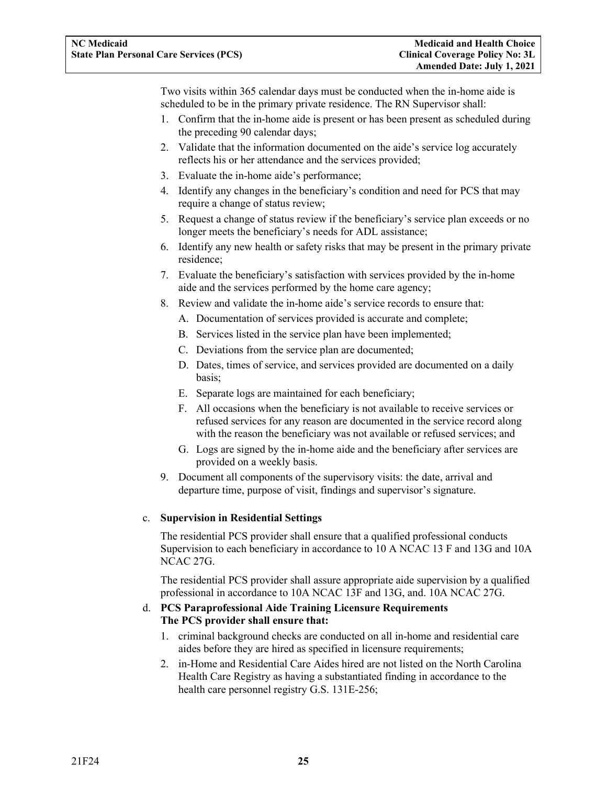Two visits within 365 calendar days must be conducted when the in-home aide is scheduled to be in the primary private residence. The RN Supervisor shall:

- 1. Confirm that the in-home aide is present or has been present as scheduled during the preceding 90 calendar days;
- 2. Validate that the information documented on the aide's service log accurately reflects his or her attendance and the services provided;
- 3. Evaluate the in-home aide's performance;
- 4. Identify any changes in the beneficiary's condition and need for PCS that may require a change of status review;
- 5. Request a change of status review if the beneficiary's service plan exceeds or no longer meets the beneficiary's needs for ADL assistance;
- 6. Identify any new health or safety risks that may be present in the primary private residence;
- 7. Evaluate the beneficiary's satisfaction with services provided by the in-home aide and the services performed by the home care agency;
- 8. Review and validate the in-home aide's service records to ensure that:
	- A. Documentation of services provided is accurate and complete;
	- B. Services listed in the service plan have been implemented;
	- C. Deviations from the service plan are documented;
	- D. Dates, times of service, and services provided are documented on a daily basis;
	- E. Separate logs are maintained for each beneficiary;
	- F. All occasions when the beneficiary is not available to receive services or refused services for any reason are documented in the service record along with the reason the beneficiary was not available or refused services; and
	- G. Logs are signed by the in-home aide and the beneficiary after services are provided on a weekly basis.
- 9. Document all components of the supervisory visits: the date, arrival and departure time, purpose of visit, findings and supervisor's signature.

#### c. **Supervision in Residential Settings**

The residential PCS provider shall ensure that a qualified professional conducts Supervision to each beneficiary in accordance to 10 A NCAC 13 F and 13G and 10A NCAC 27G.

The residential PCS provider shall assure appropriate aide supervision by a qualified professional in accordance to 10A NCAC 13F and 13G, and. 10A NCAC 27G.

#### d. **PCS Paraprofessional Aide Training Licensure Requirements The PCS provider shall ensure that:**

- 1. criminal background checks are conducted on all in-home and residential care aides before they are hired as specified in licensure requirements;
- 2. in-Home and Residential Care Aides hired are not listed on the North Carolina Health Care Registry as having a substantiated finding in accordance to the health care personnel registry G.S. 131E-256;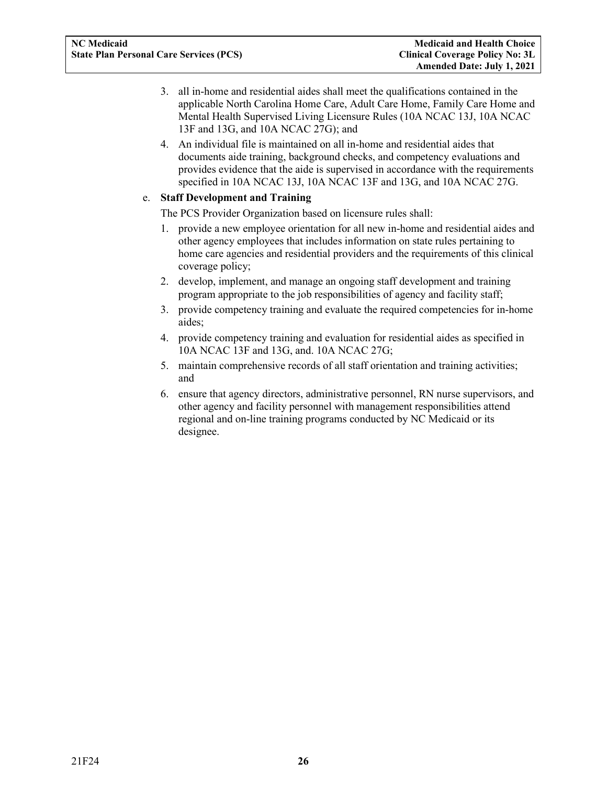- 3. all in-home and residential aides shall meet the qualifications contained in the applicable North Carolina Home Care, Adult Care Home, Family Care Home and Mental Health Supervised Living Licensure Rules (10A NCAC 13J, 10A NCAC 13F and 13G, and 10A NCAC 27G); and
- 4. An individual file is maintained on all in-home and residential aides that documents aide training, background checks, and competency evaluations and provides evidence that the aide is supervised in accordance with the requirements specified in 10A NCAC 13J, 10A NCAC 13F and 13G, and 10A NCAC 27G.

#### e. **Staff Development and Training**

The PCS Provider Organization based on licensure rules shall:

- 1. provide a new employee orientation for all new in-home and residential aides and other agency employees that includes information on state rules pertaining to home care agencies and residential providers and the requirements of this clinical coverage policy;
- 2. develop, implement, and manage an ongoing staff development and training program appropriate to the job responsibilities of agency and facility staff;
- 3. provide competency training and evaluate the required competencies for in-home aides;
- 4. provide competency training and evaluation for residential aides as specified in 10A NCAC 13F and 13G, and. 10A NCAC 27G;
- 5. maintain comprehensive records of all staff orientation and training activities; and
- 6. ensure that agency directors, administrative personnel, RN nurse supervisors, and other agency and facility personnel with management responsibilities attend regional and on-line training programs conducted by NC Medicaid or its designee.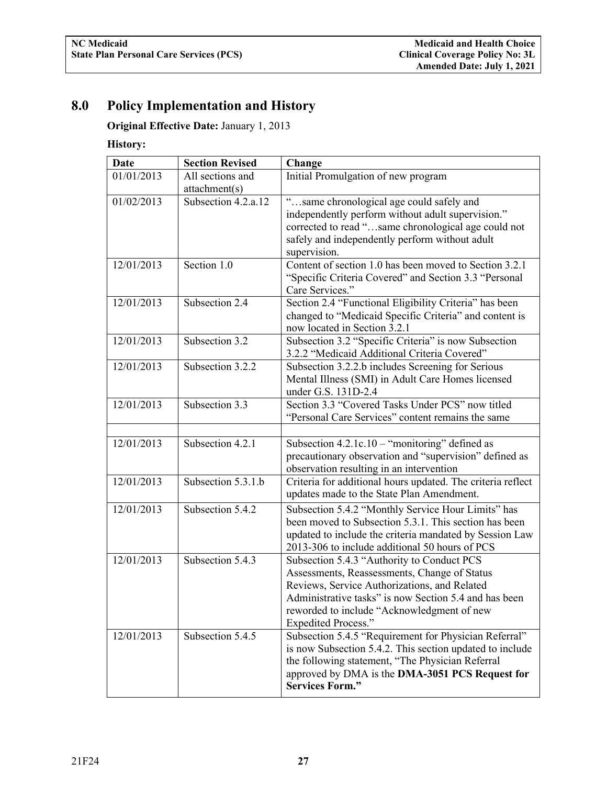# <span id="page-29-0"></span>**8.0 Policy Implementation and History**

**Original Effective Date:** January 1, 2013

## **History:**

| <b>Date</b> | <b>Section Revised</b>            | Change                                                                                                                                                                                                                                                                          |
|-------------|-----------------------------------|---------------------------------------------------------------------------------------------------------------------------------------------------------------------------------------------------------------------------------------------------------------------------------|
| 01/01/2013  | All sections and<br>attachment(s) | Initial Promulgation of new program                                                                                                                                                                                                                                             |
| 01/02/2013  | Subsection 4.2.a.12               | "same chronological age could safely and<br>independently perform without adult supervision."<br>corrected to read "same chronological age could not<br>safely and independently perform without adult<br>supervision.                                                          |
| 12/01/2013  | Section 1.0                       | Content of section 1.0 has been moved to Section 3.2.1<br>"Specific Criteria Covered" and Section 3.3 "Personal<br>Care Services."                                                                                                                                              |
| 12/01/2013  | Subsection 2.4                    | Section 2.4 "Functional Eligibility Criteria" has been<br>changed to "Medicaid Specific Criteria" and content is<br>now located in Section 3.2.1                                                                                                                                |
| 12/01/2013  | Subsection 3.2                    | Subsection 3.2 "Specific Criteria" is now Subsection<br>3.2.2 "Medicaid Additional Criteria Covered"                                                                                                                                                                            |
| 12/01/2013  | Subsection 3.2.2                  | Subsection 3.2.2.b includes Screening for Serious<br>Mental Illness (SMI) in Adult Care Homes licensed<br>under G.S. 131D-2.4                                                                                                                                                   |
| 12/01/2013  | Subsection 3.3                    | Section 3.3 "Covered Tasks Under PCS" now titled<br>"Personal Care Services" content remains the same                                                                                                                                                                           |
| 12/01/2013  | Subsection 4.2.1                  | Subsection $4.2.1c.10 -$ "monitoring" defined as<br>precautionary observation and "supervision" defined as<br>observation resulting in an intervention                                                                                                                          |
| 12/01/2013  | Subsection 5.3.1.b                | Criteria for additional hours updated. The criteria reflect<br>updates made to the State Plan Amendment.                                                                                                                                                                        |
| 12/01/2013  | Subsection 5.4.2                  | Subsection 5.4.2 "Monthly Service Hour Limits" has<br>been moved to Subsection 5.3.1. This section has been<br>updated to include the criteria mandated by Session Law<br>2013-306 to include additional 50 hours of PCS                                                        |
| 12/01/2013  | Subsection 5.4.3                  | Subsection 5.4.3 "Authority to Conduct PCS<br>Assessments, Reassessments, Change of Status<br>Reviews, Service Authorizations, and Related<br>Administrative tasks" is now Section 5.4 and has been<br>reworded to include "Acknowledgment of new<br><b>Expedited Process."</b> |
| 12/01/2013  | Subsection 5.4.5                  | Subsection 5.4.5 "Requirement for Physician Referral"<br>is now Subsection 5.4.2. This section updated to include<br>the following statement, "The Physician Referral<br>approved by DMA is the DMA-3051 PCS Request for<br><b>Services Form."</b>                              |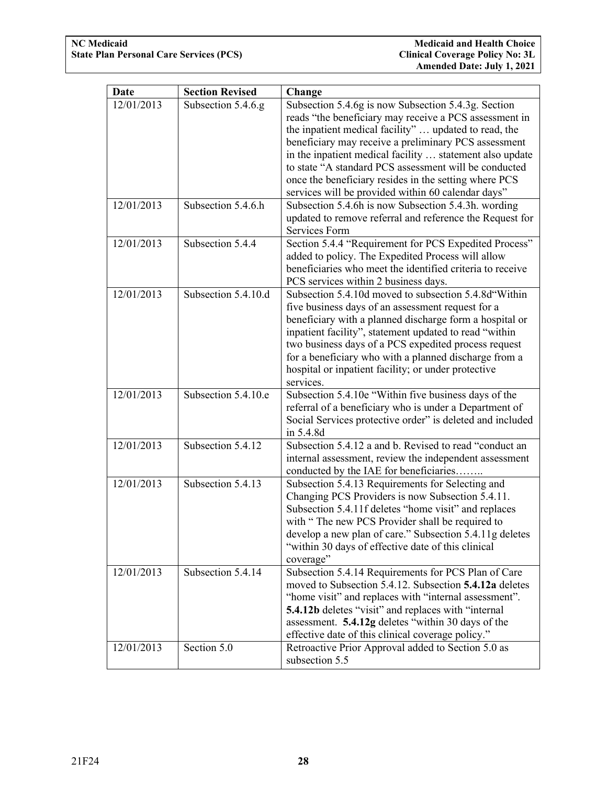| Date                     | <b>Section Revised</b>                   | Change                                                                                                                                                                                                                                                                                                                                                                                                                                                                                                                    |
|--------------------------|------------------------------------------|---------------------------------------------------------------------------------------------------------------------------------------------------------------------------------------------------------------------------------------------------------------------------------------------------------------------------------------------------------------------------------------------------------------------------------------------------------------------------------------------------------------------------|
| 12/01/2013<br>12/01/2013 | Subsection 5.4.6.g<br>Subsection 5.4.6.h | Subsection 5.4.6g is now Subsection 5.4.3g. Section<br>reads "the beneficiary may receive a PCS assessment in<br>the inpatient medical facility"  updated to read, the<br>beneficiary may receive a preliminary PCS assessment<br>in the inpatient medical facility  statement also update<br>to state "A standard PCS assessment will be conducted<br>once the beneficiary resides in the setting where PCS<br>services will be provided within 60 calendar days"<br>Subsection 5.4.6h is now Subsection 5.4.3h. wording |
|                          |                                          | updated to remove referral and reference the Request for<br>Services Form                                                                                                                                                                                                                                                                                                                                                                                                                                                 |
| 12/01/2013               | Subsection 5.4.4                         | Section 5.4.4 "Requirement for PCS Expedited Process"<br>added to policy. The Expedited Process will allow<br>beneficiaries who meet the identified criteria to receive<br>PCS services within 2 business days.                                                                                                                                                                                                                                                                                                           |
| 12/01/2013               | Subsection 5.4.10.d                      | Subsection 5.4.10d moved to subsection 5.4.8d Within<br>five business days of an assessment request for a<br>beneficiary with a planned discharge form a hospital or<br>inpatient facility", statement updated to read "within<br>two business days of a PCS expedited process request<br>for a beneficiary who with a planned discharge from a<br>hospital or inpatient facility; or under protective<br>services.                                                                                                       |
| 12/01/2013               | Subsection 5.4.10.e                      | Subsection 5.4.10e "Within five business days of the<br>referral of a beneficiary who is under a Department of<br>Social Services protective order" is deleted and included<br>in 5.4.8d                                                                                                                                                                                                                                                                                                                                  |
| 12/01/2013               | Subsection 5.4.12                        | Subsection 5.4.12 a and b. Revised to read "conduct an<br>internal assessment, review the independent assessment<br>conducted by the IAE for beneficiaries                                                                                                                                                                                                                                                                                                                                                                |
| 12/01/2013               | Subsection 5.4.13                        | Subsection 5.4.13 Requirements for Selecting and<br>Changing PCS Providers is now Subsection 5.4.11.<br>Subsection 5.4.11f deletes "home visit" and replaces<br>with "The new PCS Provider shall be required to<br>develop a new plan of care." Subsection 5.4.11g deletes<br>"within 30 days of effective date of this clinical<br>coverage"                                                                                                                                                                             |
| 12/01/2013               | Subsection 5.4.14                        | Subsection 5.4.14 Requirements for PCS Plan of Care<br>moved to Subsection 5.4.12. Subsection 5.4.12a deletes<br>"home visit" and replaces with "internal assessment".<br>5.4.12b deletes "visit" and replaces with "internal<br>assessment. 5.4.12g deletes "within 30 days of the<br>effective date of this clinical coverage policy."                                                                                                                                                                                  |
| 12/01/2013               | Section 5.0                              | Retroactive Prior Approval added to Section 5.0 as<br>subsection 5.5                                                                                                                                                                                                                                                                                                                                                                                                                                                      |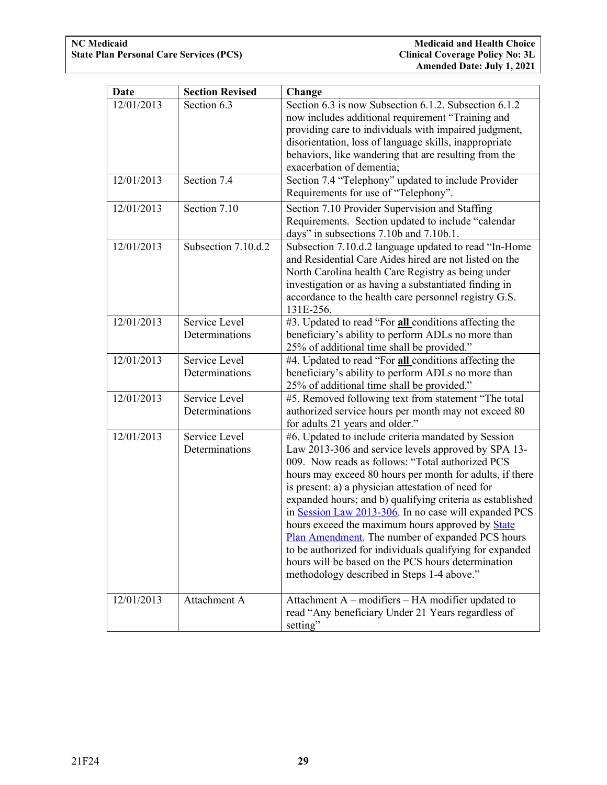| Date       | <b>Section Revised</b>          | Change                                                                                                                                                                                                                                                                                                                                                                                                                                                                                                                                                                                                                                                                                |
|------------|---------------------------------|---------------------------------------------------------------------------------------------------------------------------------------------------------------------------------------------------------------------------------------------------------------------------------------------------------------------------------------------------------------------------------------------------------------------------------------------------------------------------------------------------------------------------------------------------------------------------------------------------------------------------------------------------------------------------------------|
| 12/01/2013 | Section 6.3                     | Section 6.3 is now Subsection 6.1.2. Subsection 6.1.2<br>now includes additional requirement "Training and<br>providing care to individuals with impaired judgment,<br>disorientation, loss of language skills, inappropriate<br>behaviors, like wandering that are resulting from the<br>exacerbation of dementia;                                                                                                                                                                                                                                                                                                                                                                   |
| 12/01/2013 | Section 7.4                     | Section 7.4 "Telephony" updated to include Provider<br>Requirements for use of "Telephony".                                                                                                                                                                                                                                                                                                                                                                                                                                                                                                                                                                                           |
| 12/01/2013 | Section $7.10$                  | Section 7.10 Provider Supervision and Staffing<br>Requirements. Section updated to include "calendar<br>days" in subsections 7.10b and 7.10b.1.                                                                                                                                                                                                                                                                                                                                                                                                                                                                                                                                       |
| 12/01/2013 | Subsection 7.10.d.2             | Subsection 7.10.d.2 language updated to read "In-Home<br>and Residential Care Aides hired are not listed on the<br>North Carolina health Care Registry as being under<br>investigation or as having a substantiated finding in<br>accordance to the health care personnel registry G.S.<br>131E-256.                                                                                                                                                                                                                                                                                                                                                                                  |
| 12/01/2013 | Service Level<br>Determinations | #3. Updated to read "For all conditions affecting the<br>beneficiary's ability to perform ADLs no more than<br>25% of additional time shall be provided."                                                                                                                                                                                                                                                                                                                                                                                                                                                                                                                             |
| 12/01/2013 | Service Level<br>Determinations | #4. Updated to read "For all conditions affecting the<br>beneficiary's ability to perform ADLs no more than<br>25% of additional time shall be provided."                                                                                                                                                                                                                                                                                                                                                                                                                                                                                                                             |
| 12/01/2013 | Service Level<br>Determinations | #5. Removed following text from statement "The total<br>authorized service hours per month may not exceed 80<br>for adults 21 years and older."                                                                                                                                                                                                                                                                                                                                                                                                                                                                                                                                       |
| 12/01/2013 | Service Level<br>Determinations | #6. Updated to include criteria mandated by Session<br>Law 2013-306 and service levels approved by SPA 13-<br>009. Now reads as follows: "Total authorized PCS<br>hours may exceed 80 hours per month for adults, if there<br>is present: a) a physician attestation of need for<br>expanded hours; and b) qualifying criteria as established<br>in Session Law 2013-306. In no case will expanded PCS<br>hours exceed the maximum hours approved by <b>State</b><br>Plan Amendment. The number of expanded PCS hours<br>to be authorized for individuals qualifying for expanded<br>hours will be based on the PCS hours determination<br>methodology described in Steps 1-4 above." |
| 12/01/2013 | Attachment A                    | Attachment A – modifiers – HA modifier updated to<br>read "Any beneficiary Under 21 Years regardless of<br>setting"                                                                                                                                                                                                                                                                                                                                                                                                                                                                                                                                                                   |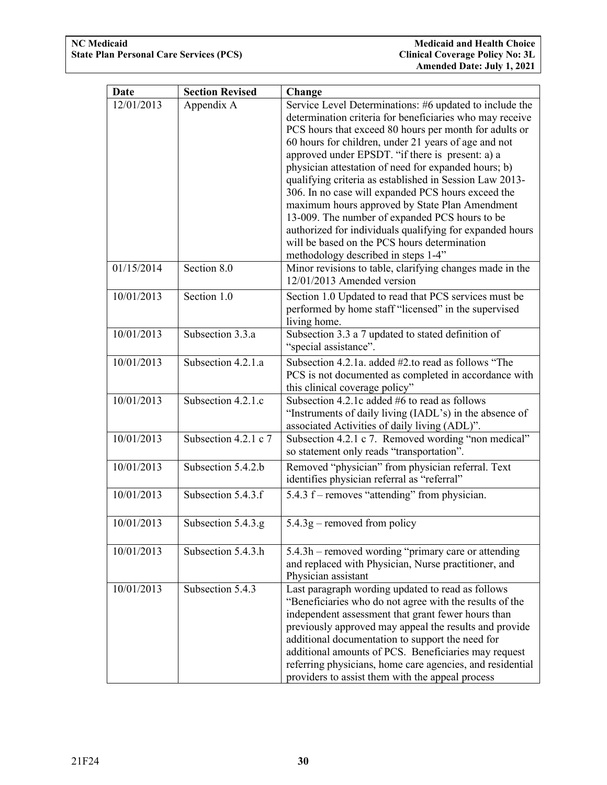| Date       | <b>Section Revised</b> | Change                                                    |
|------------|------------------------|-----------------------------------------------------------|
| 12/01/2013 | Appendix A             | Service Level Determinations: #6 updated to include the   |
|            |                        | determination criteria for beneficiaries who may receive  |
|            |                        | PCS hours that exceed 80 hours per month for adults or    |
|            |                        | 60 hours for children, under 21 years of age and not      |
|            |                        | approved under EPSDT. "if there is present: a) a          |
|            |                        | physician attestation of need for expanded hours; b)      |
|            |                        | qualifying criteria as established in Session Law 2013-   |
|            |                        | 306. In no case will expanded PCS hours exceed the        |
|            |                        | maximum hours approved by State Plan Amendment            |
|            |                        | 13-009. The number of expanded PCS hours to be            |
|            |                        | authorized for individuals qualifying for expanded hours  |
|            |                        | will be based on the PCS hours determination              |
|            |                        | methodology described in steps 1-4"                       |
| 01/15/2014 | Section 8.0            | Minor revisions to table, clarifying changes made in the  |
|            |                        | 12/01/2013 Amended version                                |
| 10/01/2013 | Section 1.0            | Section 1.0 Updated to read that PCS services must be     |
|            |                        | performed by home staff "licensed" in the supervised      |
|            |                        | living home.                                              |
| 10/01/2013 | Subsection 3.3.a       | Subsection 3.3 a 7 updated to stated definition of        |
|            |                        | "special assistance".                                     |
| 10/01/2013 | Subsection 4.2.1.a     | Subsection 4.2.1a. added #2.to read as follows "The       |
|            |                        | PCS is not documented as completed in accordance with     |
|            |                        | this clinical coverage policy"                            |
| 10/01/2013 | Subsection 4.2.1.c     | Subsection 4.2.1c added #6 to read as follows             |
|            |                        | "Instruments of daily living (IADL's) in the absence of   |
|            |                        | associated Activities of daily living (ADL)".             |
| 10/01/2013 | Subsection 4.2.1 c 7   | Subsection 4.2.1 c 7. Removed wording "non medical"       |
|            |                        | so statement only reads "transportation".                 |
| 10/01/2013 | Subsection 5.4.2.b     | Removed "physician" from physician referral. Text         |
|            |                        | identifies physician referral as "referral"               |
| 10/01/2013 | Subsection 5.4.3.f     | 5.4.3 f – removes "attending" from physician.             |
|            |                        |                                                           |
| 10/01/2013 | Subsection 5.4.3.g     | $5.4.3g$ – removed from policy                            |
|            |                        |                                                           |
| 10/01/2013 | Subsection 5.4.3.h     | 5.4.3h – removed wording "primary care or attending       |
|            |                        | and replaced with Physician, Nurse practitioner, and      |
|            |                        | Physician assistant                                       |
| 10/01/2013 | Subsection 5.4.3       | Last paragraph wording updated to read as follows         |
|            |                        | "Beneficiaries who do not agree with the results of the   |
|            |                        | independent assessment that grant fewer hours than        |
|            |                        | previously approved may appeal the results and provide    |
|            |                        | additional documentation to support the need for          |
|            |                        | additional amounts of PCS. Beneficiaries may request      |
|            |                        | referring physicians, home care agencies, and residential |
|            |                        | providers to assist them with the appeal process          |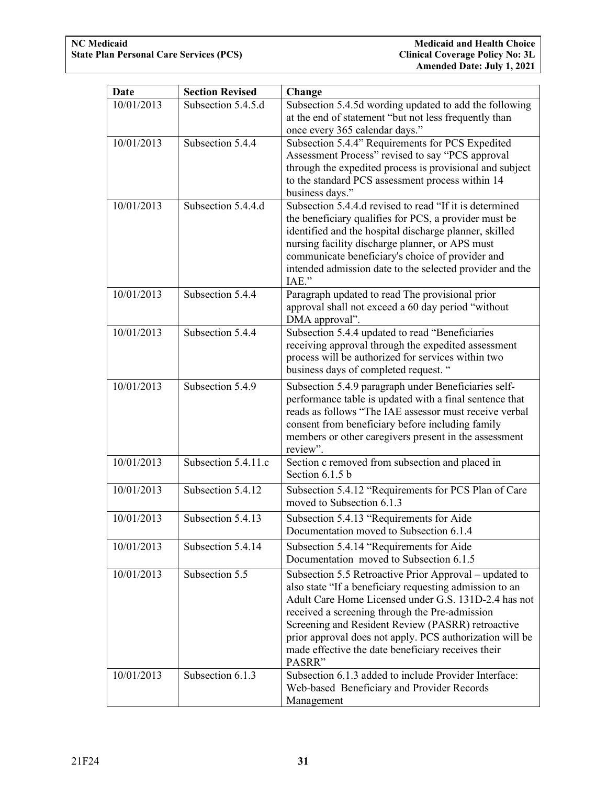| Date       | <b>Section Revised</b> | Change                                                                                                                                                                                                                                                                                                                                                                                                       |
|------------|------------------------|--------------------------------------------------------------------------------------------------------------------------------------------------------------------------------------------------------------------------------------------------------------------------------------------------------------------------------------------------------------------------------------------------------------|
| 10/01/2013 | Subsection 5.4.5.d     | Subsection 5.4.5d wording updated to add the following<br>at the end of statement "but not less frequently than<br>once every 365 calendar days."                                                                                                                                                                                                                                                            |
| 10/01/2013 | Subsection 5.4.4       | Subsection 5.4.4" Requirements for PCS Expedited<br>Assessment Process" revised to say "PCS approval<br>through the expedited process is provisional and subject<br>to the standard PCS assessment process within 14<br>business days."                                                                                                                                                                      |
| 10/01/2013 | Subsection 5.4.4.d     | Subsection 5.4.4.d revised to read "If it is determined<br>the beneficiary qualifies for PCS, a provider must be<br>identified and the hospital discharge planner, skilled<br>nursing facility discharge planner, or APS must<br>communicate beneficiary's choice of provider and<br>intended admission date to the selected provider and the<br>IAE."                                                       |
| 10/01/2013 | Subsection 5.4.4       | Paragraph updated to read The provisional prior<br>approval shall not exceed a 60 day period "without<br>DMA approval".                                                                                                                                                                                                                                                                                      |
| 10/01/2013 | Subsection 5.4.4       | Subsection 5.4.4 updated to read "Beneficiaries<br>receiving approval through the expedited assessment<br>process will be authorized for services within two<br>business days of completed request. "                                                                                                                                                                                                        |
| 10/01/2013 | Subsection 5.4.9       | Subsection 5.4.9 paragraph under Beneficiaries self-<br>performance table is updated with a final sentence that<br>reads as follows "The IAE assessor must receive verbal<br>consent from beneficiary before including family<br>members or other caregivers present in the assessment<br>review".                                                                                                           |
| 10/01/2013 | Subsection 5.4.11.c    | Section c removed from subsection and placed in<br>Section 6.1.5 b                                                                                                                                                                                                                                                                                                                                           |
| 10/01/2013 | Subsection 5.4.12      | Subsection 5.4.12 "Requirements for PCS Plan of Care<br>moved to Subsection 6.1.3                                                                                                                                                                                                                                                                                                                            |
| 10/01/2013 | Subsection 5.4.13      | Subsection 5.4.13 "Requirements for Aide<br>Documentation moved to Subsection 6.1.4                                                                                                                                                                                                                                                                                                                          |
| 10/01/2013 | Subsection 5.4.14      | Subsection 5.4.14 "Requirements for Aide"<br>Documentation moved to Subsection 6.1.5                                                                                                                                                                                                                                                                                                                         |
| 10/01/2013 | Subsection 5.5         | Subsection 5.5 Retroactive Prior Approval – updated to<br>also state "If a beneficiary requesting admission to an<br>Adult Care Home Licensed under G.S. 131D-2.4 has not<br>received a screening through the Pre-admission<br>Screening and Resident Review (PASRR) retroactive<br>prior approval does not apply. PCS authorization will be<br>made effective the date beneficiary receives their<br>PASRR" |
| 10/01/2013 | Subsection 6.1.3       | Subsection 6.1.3 added to include Provider Interface:<br>Web-based Beneficiary and Provider Records<br>Management                                                                                                                                                                                                                                                                                            |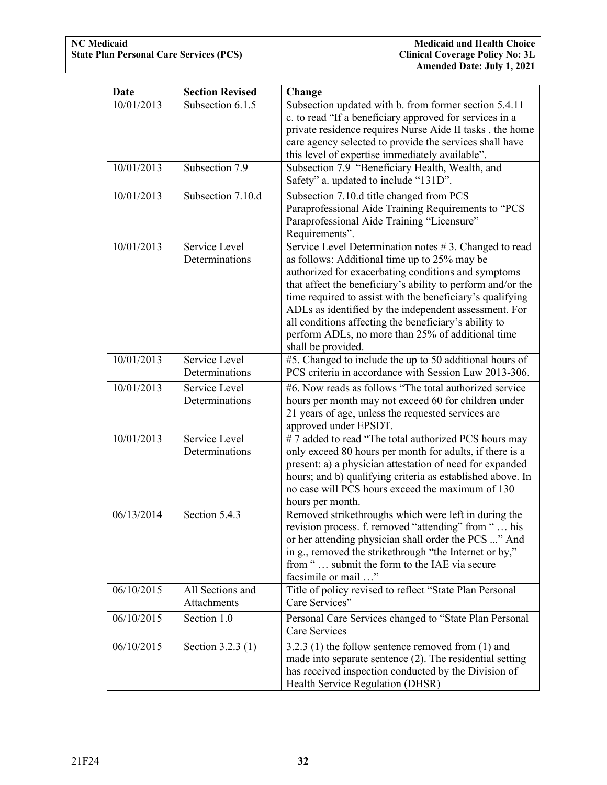| Date       | <b>Section Revised</b> | Change                                                      |
|------------|------------------------|-------------------------------------------------------------|
| 10/01/2013 | Subsection 6.1.5       | Subsection updated with b. from former section 5.4.11       |
|            |                        | c. to read "If a beneficiary approved for services in a     |
|            |                        | private residence requires Nurse Aide II tasks, the home    |
|            |                        | care agency selected to provide the services shall have     |
|            |                        | this level of expertise immediately available".             |
| 10/01/2013 | Subsection 7.9         | Subsection 7.9 "Beneficiary Health, Wealth, and             |
|            |                        | Safety" a. updated to include "131D".                       |
| 10/01/2013 | Subsection 7.10.d      | Subsection 7.10.d title changed from PCS                    |
|            |                        | Paraprofessional Aide Training Requirements to "PCS         |
|            |                        | Paraprofessional Aide Training "Licensure"                  |
|            |                        | Requirements".                                              |
| 10/01/2013 | Service Level          | Service Level Determination notes #3. Changed to read       |
|            | Determinations         | as follows: Additional time up to 25% may be                |
|            |                        | authorized for exacerbating conditions and symptoms         |
|            |                        | that affect the beneficiary's ability to perform and/or the |
|            |                        | time required to assist with the beneficiary's qualifying   |
|            |                        | ADLs as identified by the independent assessment. For       |
|            |                        | all conditions affecting the beneficiary's ability to       |
|            |                        | perform ADLs, no more than 25% of additional time           |
|            |                        | shall be provided.                                          |
| 10/01/2013 | Service Level          | #5. Changed to include the up to 50 additional hours of     |
|            | Determinations         | PCS criteria in accordance with Session Law 2013-306.       |
| 10/01/2013 | Service Level          | #6. Now reads as follows "The total authorized service"     |
|            | Determinations         | hours per month may not exceed 60 for children under        |
|            |                        | 21 years of age, unless the requested services are          |
|            |                        | approved under EPSDT.                                       |
| 10/01/2013 | Service Level          | #7 added to read "The total authorized PCS hours may        |
|            | Determinations         | only exceed 80 hours per month for adults, if there is a    |
|            |                        | present: a) a physician attestation of need for expanded    |
|            |                        | hours; and b) qualifying criteria as established above. In  |
|            |                        | no case will PCS hours exceed the maximum of 130            |
|            |                        | hours per month.                                            |
| 06/13/2014 | Section 5.4.3          | Removed strikethroughs which were left in during the        |
|            |                        | revision process. f. removed "attending" from "  his        |
|            |                        | or her attending physician shall order the PCS " And        |
|            |                        | in g., removed the strikethrough "the Internet or by,"      |
|            |                        | from " submit the form to the IAE via secure                |
|            |                        | facsimile or mail "                                         |
| 06/10/2015 | All Sections and       | Title of policy revised to reflect "State Plan Personal     |
|            | Attachments            | Care Services"                                              |
| 06/10/2015 | Section 1.0            | Personal Care Services changed to "State Plan Personal      |
|            |                        | Care Services                                               |
| 06/10/2015 | Section 3.2.3 (1)      | $3.2.3$ (1) the follow sentence removed from (1) and        |
|            |                        | made into separate sentence $(2)$ . The residential setting |
|            |                        | has received inspection conducted by the Division of        |
|            |                        | Health Service Regulation (DHSR)                            |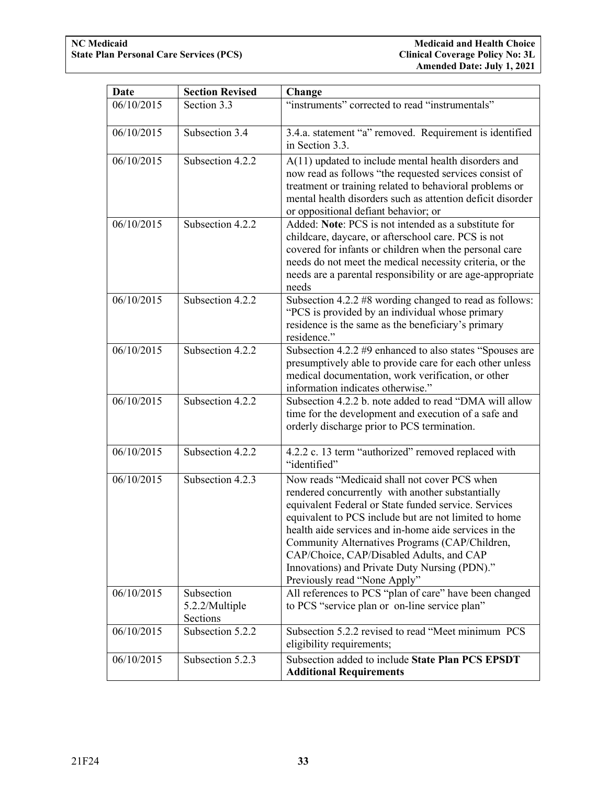| Date       | <b>Section Revised</b>                   | Change                                                                                                                                                                                                                                                                                                                                                                                                                                                    |
|------------|------------------------------------------|-----------------------------------------------------------------------------------------------------------------------------------------------------------------------------------------------------------------------------------------------------------------------------------------------------------------------------------------------------------------------------------------------------------------------------------------------------------|
| 06/10/2015 | Section 3.3                              | "instruments" corrected to read "instrumentals"                                                                                                                                                                                                                                                                                                                                                                                                           |
| 06/10/2015 | Subsection 3.4                           | 3.4.a. statement "a" removed. Requirement is identified<br>in Section 3.3.                                                                                                                                                                                                                                                                                                                                                                                |
| 06/10/2015 | Subsection 4.2.2                         | A(11) updated to include mental health disorders and<br>now read as follows "the requested services consist of<br>treatment or training related to behavioral problems or<br>mental health disorders such as attention deficit disorder<br>or oppositional defiant behavior; or                                                                                                                                                                           |
| 06/10/2015 | Subsection 4.2.2                         | Added: Note: PCS is not intended as a substitute for<br>childcare, daycare, or afterschool care. PCS is not<br>covered for infants or children when the personal care<br>needs do not meet the medical necessity criteria, or the<br>needs are a parental responsibility or are age-appropriate<br>needs                                                                                                                                                  |
| 06/10/2015 | Subsection 4.2.2                         | Subsection 4.2.2 #8 wording changed to read as follows:<br>"PCS is provided by an individual whose primary<br>residence is the same as the beneficiary's primary<br>residence."                                                                                                                                                                                                                                                                           |
| 06/10/2015 | Subsection 4.2.2                         | Subsection 4.2.2 #9 enhanced to also states "Spouses are<br>presumptively able to provide care for each other unless<br>medical documentation, work verification, or other<br>information indicates otherwise."                                                                                                                                                                                                                                           |
| 06/10/2015 | Subsection 4.2.2                         | Subsection 4.2.2 b. note added to read "DMA will allow<br>time for the development and execution of a safe and<br>orderly discharge prior to PCS termination.                                                                                                                                                                                                                                                                                             |
| 06/10/2015 | Subsection 4.2.2                         | 4.2.2 c. 13 term "authorized" removed replaced with<br>"identified"                                                                                                                                                                                                                                                                                                                                                                                       |
| 06/10/2015 | Subsection 4.2.3                         | Now reads "Medicaid shall not cover PCS when<br>rendered concurrently with another substantially<br>equivalent Federal or State funded service. Services<br>equivalent to PCS include but are not limited to home<br>health aide services and in-home aide services in the<br>Community Alternatives Programs (CAP/Children,<br>CAP/Choice, CAP/Disabled Adults, and CAP<br>Innovations) and Private Duty Nursing (PDN)."<br>Previously read "None Apply" |
| 06/10/2015 | Subsection<br>5.2.2/Multiple<br>Sections | All references to PCS "plan of care" have been changed<br>to PCS "service plan or on-line service plan"                                                                                                                                                                                                                                                                                                                                                   |
| 06/10/2015 | Subsection 5.2.2                         | Subsection 5.2.2 revised to read "Meet minimum PCS<br>eligibility requirements;                                                                                                                                                                                                                                                                                                                                                                           |
| 06/10/2015 | Subsection 5.2.3                         | Subsection added to include State Plan PCS EPSDT<br><b>Additional Requirements</b>                                                                                                                                                                                                                                                                                                                                                                        |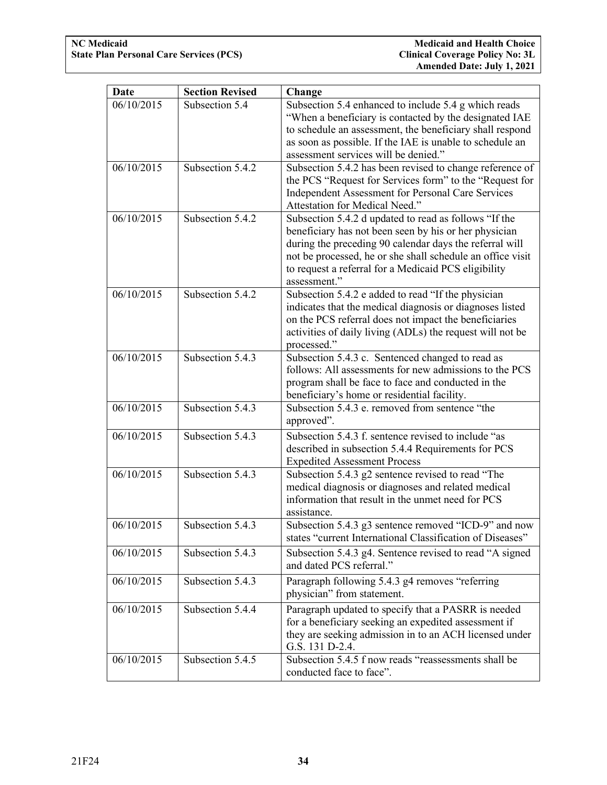| Date       | <b>Section Revised</b> | Change                                                                                                                                                                                                                                                                                                          |
|------------|------------------------|-----------------------------------------------------------------------------------------------------------------------------------------------------------------------------------------------------------------------------------------------------------------------------------------------------------------|
| 06/10/2015 | Subsection 5.4         | Subsection 5.4 enhanced to include 5.4 g which reads<br>"When a beneficiary is contacted by the designated IAE<br>to schedule an assessment, the beneficiary shall respond<br>as soon as possible. If the IAE is unable to schedule an<br>assessment services will be denied."                                  |
| 06/10/2015 | Subsection 5.4.2       | Subsection 5.4.2 has been revised to change reference of<br>the PCS "Request for Services form" to the "Request for<br>Independent Assessment for Personal Care Services<br>Attestation for Medical Need."                                                                                                      |
| 06/10/2015 | Subsection 5.4.2       | Subsection 5.4.2 d updated to read as follows "If the<br>beneficiary has not been seen by his or her physician<br>during the preceding 90 calendar days the referral will<br>not be processed, he or she shall schedule an office visit<br>to request a referral for a Medicaid PCS eligibility<br>assessment." |
| 06/10/2015 | Subsection 5.4.2       | Subsection 5.4.2 e added to read "If the physician<br>indicates that the medical diagnosis or diagnoses listed<br>on the PCS referral does not impact the beneficiaries<br>activities of daily living (ADLs) the request will not be<br>processed."                                                             |
| 06/10/2015 | Subsection 5.4.3       | Subsection 5.4.3 c. Sentenced changed to read as<br>follows: All assessments for new admissions to the PCS<br>program shall be face to face and conducted in the<br>beneficiary's home or residential facility.                                                                                                 |
| 06/10/2015 | Subsection 5.4.3       | Subsection 5.4.3 e. removed from sentence "the<br>approved".                                                                                                                                                                                                                                                    |
| 06/10/2015 | Subsection 5.4.3       | Subsection 5.4.3 f. sentence revised to include "as<br>described in subsection 5.4.4 Requirements for PCS<br><b>Expedited Assessment Process</b>                                                                                                                                                                |
| 06/10/2015 | Subsection 5.4.3       | Subsection 5.4.3 g2 sentence revised to read "The<br>medical diagnosis or diagnoses and related medical<br>information that result in the unmet need for PCS<br>assistance.                                                                                                                                     |
| 06/10/2015 | Subsection 5.4.3       | Subsection 5.4.3 g3 sentence removed "ICD-9" and now<br>states "current International Classification of Diseases"                                                                                                                                                                                               |
| 06/10/2015 | Subsection 5.4.3       | Subsection 5.4.3 g4. Sentence revised to read "A signed<br>and dated PCS referral."                                                                                                                                                                                                                             |
| 06/10/2015 | Subsection 5.4.3       | Paragraph following 5.4.3 g4 removes "referring<br>physician" from statement.                                                                                                                                                                                                                                   |
| 06/10/2015 | Subsection 5.4.4       | Paragraph updated to specify that a PASRR is needed<br>for a beneficiary seeking an expedited assessment if<br>they are seeking admission in to an ACH licensed under<br>G.S. 131 D-2.4.                                                                                                                        |
| 06/10/2015 | Subsection 5.4.5       | Subsection 5.4.5 f now reads "reassessments shall be<br>conducted face to face".                                                                                                                                                                                                                                |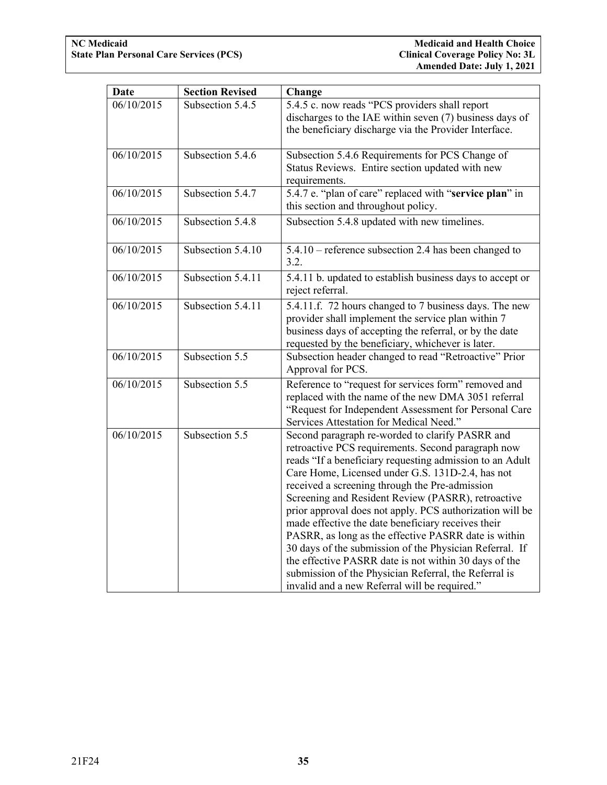| Date       | <b>Section Revised</b> | Change                                                                                                                                                                                                                                                                                                                                                                                                                                                                                                                                                                                                                                                                                                                                |  |
|------------|------------------------|---------------------------------------------------------------------------------------------------------------------------------------------------------------------------------------------------------------------------------------------------------------------------------------------------------------------------------------------------------------------------------------------------------------------------------------------------------------------------------------------------------------------------------------------------------------------------------------------------------------------------------------------------------------------------------------------------------------------------------------|--|
| 06/10/2015 | Subsection 5.4.5       | 5.4.5 c. now reads "PCS providers shall report<br>discharges to the IAE within seven (7) business days of<br>the beneficiary discharge via the Provider Interface.                                                                                                                                                                                                                                                                                                                                                                                                                                                                                                                                                                    |  |
| 06/10/2015 | Subsection 5.4.6       | Subsection 5.4.6 Requirements for PCS Change of<br>Status Reviews. Entire section updated with new<br>requirements.                                                                                                                                                                                                                                                                                                                                                                                                                                                                                                                                                                                                                   |  |
| 06/10/2015 | Subsection 5.4.7       | 5.4.7 e. "plan of care" replaced with "service plan" in<br>this section and throughout policy.                                                                                                                                                                                                                                                                                                                                                                                                                                                                                                                                                                                                                                        |  |
| 06/10/2015 | Subsection 5.4.8       | Subsection 5.4.8 updated with new timelines.                                                                                                                                                                                                                                                                                                                                                                                                                                                                                                                                                                                                                                                                                          |  |
| 06/10/2015 | Subsection 5.4.10      | 5.4.10 – reference subsection 2.4 has been changed to<br>3.2.                                                                                                                                                                                                                                                                                                                                                                                                                                                                                                                                                                                                                                                                         |  |
| 06/10/2015 | Subsection 5.4.11      | 5.4.11 b. updated to establish business days to accept or<br>reject referral.                                                                                                                                                                                                                                                                                                                                                                                                                                                                                                                                                                                                                                                         |  |
| 06/10/2015 | Subsection 5.4.11      | 5.4.11.f. 72 hours changed to 7 business days. The new<br>provider shall implement the service plan within 7<br>business days of accepting the referral, or by the date<br>requested by the beneficiary, whichever is later.                                                                                                                                                                                                                                                                                                                                                                                                                                                                                                          |  |
| 06/10/2015 | Subsection 5.5         | Subsection header changed to read "Retroactive" Prior<br>Approval for PCS.                                                                                                                                                                                                                                                                                                                                                                                                                                                                                                                                                                                                                                                            |  |
| 06/10/2015 | Subsection 5.5         | Reference to "request for services form" removed and<br>replaced with the name of the new DMA 3051 referral<br>"Request for Independent Assessment for Personal Care<br>Services Attestation for Medical Need."                                                                                                                                                                                                                                                                                                                                                                                                                                                                                                                       |  |
| 06/10/2015 | Subsection 5.5         | Second paragraph re-worded to clarify PASRR and<br>retroactive PCS requirements. Second paragraph now<br>reads "If a beneficiary requesting admission to an Adult<br>Care Home, Licensed under G.S. 131D-2.4, has not<br>received a screening through the Pre-admission<br>Screening and Resident Review (PASRR), retroactive<br>prior approval does not apply. PCS authorization will be<br>made effective the date beneficiary receives their<br>PASRR, as long as the effective PASRR date is within<br>30 days of the submission of the Physician Referral. If<br>the effective PASRR date is not within 30 days of the<br>submission of the Physician Referral, the Referral is<br>invalid and a new Referral will be required." |  |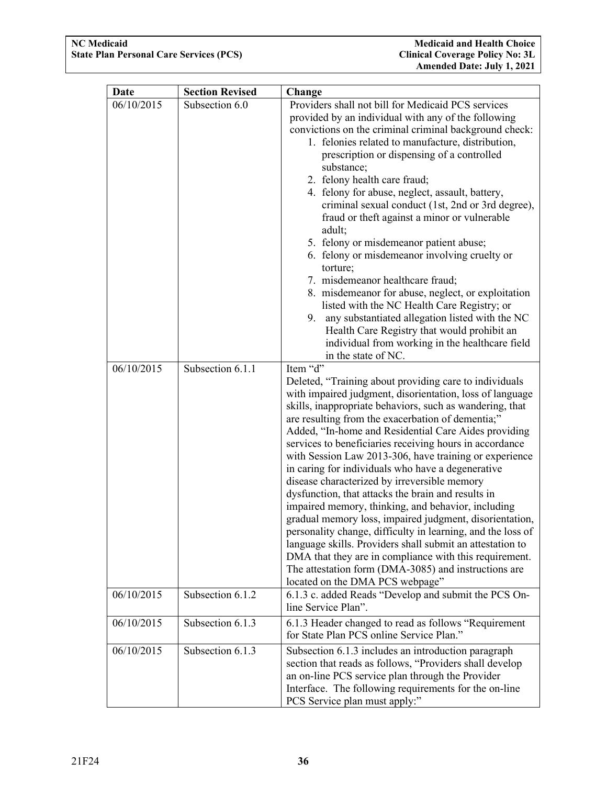| Date       | <b>Section Revised</b> | Change                                                                                                                                                                                                                                                                                                                                                                                                                                                                                                                                                                                                                                                                                                                                                                                                                                                                                                                                                                                    |  |  |
|------------|------------------------|-------------------------------------------------------------------------------------------------------------------------------------------------------------------------------------------------------------------------------------------------------------------------------------------------------------------------------------------------------------------------------------------------------------------------------------------------------------------------------------------------------------------------------------------------------------------------------------------------------------------------------------------------------------------------------------------------------------------------------------------------------------------------------------------------------------------------------------------------------------------------------------------------------------------------------------------------------------------------------------------|--|--|
| 06/10/2015 | Subsection 6.0         | Providers shall not bill for Medicaid PCS services<br>provided by an individual with any of the following<br>convictions on the criminal criminal background check:<br>1. felonies related to manufacture, distribution,<br>prescription or dispensing of a controlled<br>substance;<br>2. felony health care fraud;<br>4. felony for abuse, neglect, assault, battery,<br>criminal sexual conduct (1st, 2nd or 3rd degree),<br>fraud or theft against a minor or vulnerable<br>adult;<br>5. felony or misdemeanor patient abuse;<br>6. felony or misdemeanor involving cruelty or<br>torture;<br>7. misdemeanor healthcare fraud;<br>8. misdemeanor for abuse, neglect, or exploitation<br>listed with the NC Health Care Registry; or<br>any substantiated allegation listed with the NC<br>9.<br>Health Care Registry that would prohibit an<br>individual from working in the healthcare field<br>in the state of NC.                                                                 |  |  |
| 06/10/2015 | Subsection 6.1.1       | Item "d"<br>Deleted, "Training about providing care to individuals<br>with impaired judgment, disorientation, loss of language<br>skills, inappropriate behaviors, such as wandering, that<br>are resulting from the exacerbation of dementia;"<br>Added, "In-home and Residential Care Aides providing<br>services to beneficiaries receiving hours in accordance<br>with Session Law 2013-306, have training or experience<br>in caring for individuals who have a degenerative<br>disease characterized by irreversible memory<br>dysfunction, that attacks the brain and results in<br>impaired memory, thinking, and behavior, including<br>gradual memory loss, impaired judgment, disorientation,<br>personality change, difficulty in learning, and the loss of<br>language skills. Providers shall submit an attestation to<br>DMA that they are in compliance with this requirement.<br>The attestation form (DMA-3085) and instructions are<br>located on the DMA PCS webpage" |  |  |
| 06/10/2015 | Subsection 6.1.2       | 6.1.3 c. added Reads "Develop and submit the PCS On-<br>line Service Plan".                                                                                                                                                                                                                                                                                                                                                                                                                                                                                                                                                                                                                                                                                                                                                                                                                                                                                                               |  |  |
| 06/10/2015 | Subsection 6.1.3       | 6.1.3 Header changed to read as follows "Requirement<br>for State Plan PCS online Service Plan."                                                                                                                                                                                                                                                                                                                                                                                                                                                                                                                                                                                                                                                                                                                                                                                                                                                                                          |  |  |
| 06/10/2015 | Subsection 6.1.3       | Subsection 6.1.3 includes an introduction paragraph<br>section that reads as follows, "Providers shall develop<br>an on-line PCS service plan through the Provider<br>Interface. The following requirements for the on-line<br>PCS Service plan must apply:"                                                                                                                                                                                                                                                                                                                                                                                                                                                                                                                                                                                                                                                                                                                              |  |  |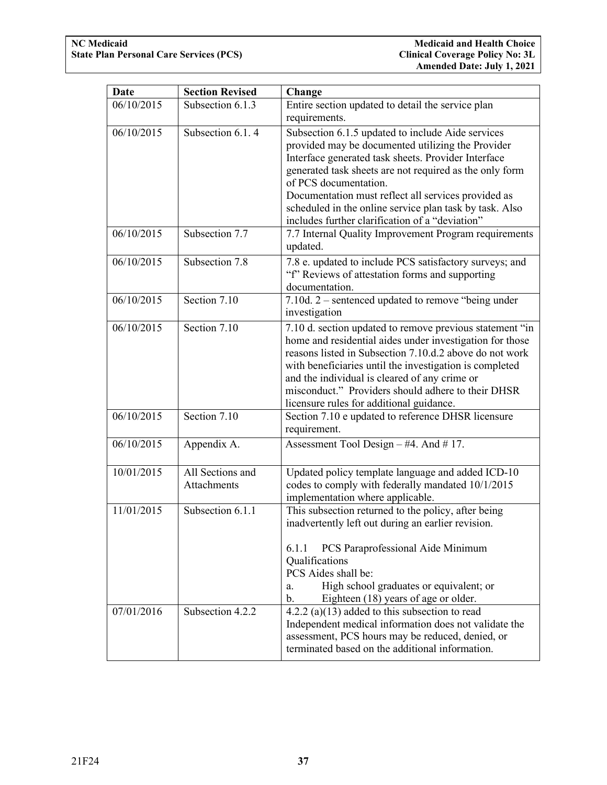| <b>Date</b> | <b>Section Revised</b>          | Change                                                                                                                                                                                                                                                                                                                                                                                                                 |  |  |
|-------------|---------------------------------|------------------------------------------------------------------------------------------------------------------------------------------------------------------------------------------------------------------------------------------------------------------------------------------------------------------------------------------------------------------------------------------------------------------------|--|--|
| 06/10/2015  | Subsection 6.1.3                | Entire section updated to detail the service plan                                                                                                                                                                                                                                                                                                                                                                      |  |  |
|             |                                 | requirements.                                                                                                                                                                                                                                                                                                                                                                                                          |  |  |
| 06/10/2015  | Subsection 6.1.4                | Subsection 6.1.5 updated to include Aide services<br>provided may be documented utilizing the Provider<br>Interface generated task sheets. Provider Interface<br>generated task sheets are not required as the only form<br>of PCS documentation.<br>Documentation must reflect all services provided as<br>scheduled in the online service plan task by task. Also<br>includes further clarification of a "deviation" |  |  |
| 06/10/2015  | Subsection 7.7                  | 7.7 Internal Quality Improvement Program requirements<br>updated.                                                                                                                                                                                                                                                                                                                                                      |  |  |
| 06/10/2015  | Subsection 7.8                  | 7.8 e. updated to include PCS satisfactory surveys; and<br>"f" Reviews of attestation forms and supporting<br>documentation.                                                                                                                                                                                                                                                                                           |  |  |
| 06/10/2015  | Section 7.10                    | 7.10d. $2$ – sentenced updated to remove "being under<br>investigation                                                                                                                                                                                                                                                                                                                                                 |  |  |
| 06/10/2015  | Section 7.10                    | 7.10 d. section updated to remove previous statement "in<br>home and residential aides under investigation for those<br>reasons listed in Subsection 7.10.d.2 above do not work<br>with beneficiaries until the investigation is completed<br>and the individual is cleared of any crime or<br>misconduct." Providers should adhere to their DHSR<br>licensure rules for additional guidance.                          |  |  |
| 06/10/2015  | Section 7.10                    | Section 7.10 e updated to reference DHSR licensure<br>requirement.                                                                                                                                                                                                                                                                                                                                                     |  |  |
| 06/10/2015  | Appendix A.                     | Assessment Tool Design $-#4$ . And $# 17$ .                                                                                                                                                                                                                                                                                                                                                                            |  |  |
| 10/01/2015  | All Sections and<br>Attachments | Updated policy template language and added ICD-10<br>codes to comply with federally mandated 10/1/2015<br>implementation where applicable.                                                                                                                                                                                                                                                                             |  |  |
| 11/01/2015  | Subsection 6.1.1                | This subsection returned to the policy, after being<br>inadvertently left out during an earlier revision.<br>PCS Paraprofessional Aide Minimum<br>6.1.1<br>Qualifications<br>PCS Aides shall be:<br>High school graduates or equivalent; or<br>a.<br>b.<br>Eighteen (18) years of age or older.                                                                                                                        |  |  |
| 07/01/2016  | Subsection 4.2.2                | 4.2.2 (a) $(13)$ added to this subsection to read<br>Independent medical information does not validate the<br>assessment, PCS hours may be reduced, denied, or<br>terminated based on the additional information.                                                                                                                                                                                                      |  |  |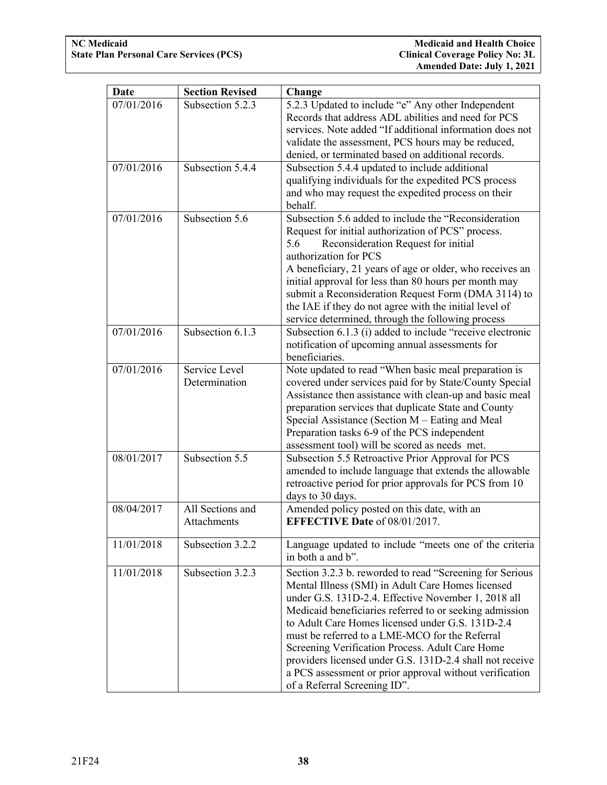| Date       | <b>Section Revised</b>          | Change                                                                                                                                                                                                                                                                                                                                                                                                                                                                                                                                          |  |  |
|------------|---------------------------------|-------------------------------------------------------------------------------------------------------------------------------------------------------------------------------------------------------------------------------------------------------------------------------------------------------------------------------------------------------------------------------------------------------------------------------------------------------------------------------------------------------------------------------------------------|--|--|
| 07/01/2016 | Subsection 5.2.3                | 5.2.3 Updated to include "e" Any other Independent<br>Records that address ADL abilities and need for PCS<br>services. Note added "If additional information does not<br>validate the assessment, PCS hours may be reduced,<br>denied, or terminated based on additional records.                                                                                                                                                                                                                                                               |  |  |
| 07/01/2016 | Subsection 5.4.4                | Subsection 5.4.4 updated to include additional<br>qualifying individuals for the expedited PCS process<br>and who may request the expedited process on their<br>behalf.                                                                                                                                                                                                                                                                                                                                                                         |  |  |
| 07/01/2016 | Subsection 5.6                  | Subsection 5.6 added to include the "Reconsideration<br>Request for initial authorization of PCS" process.<br>Reconsideration Request for initial<br>5.6<br>authorization for PCS<br>A beneficiary, 21 years of age or older, who receives an<br>initial approval for less than 80 hours per month may<br>submit a Reconsideration Request Form (DMA 3114) to<br>the IAE if they do not agree with the initial level of<br>service determined, through the following process                                                                    |  |  |
| 07/01/2016 | Subsection 6.1.3                | Subsection 6.1.3 (i) added to include "receive electronic<br>notification of upcoming annual assessments for<br>beneficiaries.                                                                                                                                                                                                                                                                                                                                                                                                                  |  |  |
| 07/01/2016 | Service Level<br>Determination  | Note updated to read "When basic meal preparation is<br>covered under services paid for by State/County Special<br>Assistance then assistance with clean-up and basic meal<br>preparation services that duplicate State and County<br>Special Assistance (Section M – Eating and Meal<br>Preparation tasks 6-9 of the PCS independent<br>assessment tool) will be scored as needs met.                                                                                                                                                          |  |  |
| 08/01/2017 | Subsection 5.5                  | Subsection 5.5 Retroactive Prior Approval for PCS<br>amended to include language that extends the allowable<br>retroactive period for prior approvals for PCS from 10<br>days to 30 days.                                                                                                                                                                                                                                                                                                                                                       |  |  |
| 08/04/2017 | All Sections and<br>Attachments | Amended policy posted on this date, with an<br><b>EFFECTIVE Date of 08/01/2017.</b>                                                                                                                                                                                                                                                                                                                                                                                                                                                             |  |  |
| 11/01/2018 | Subsection 3.2.2                | Language updated to include "meets one of the criteria<br>in both a and b".                                                                                                                                                                                                                                                                                                                                                                                                                                                                     |  |  |
| 11/01/2018 | Subsection 3.2.3                | Section 3.2.3 b. reworded to read "Screening for Serious<br>Mental Illness (SMI) in Adult Care Homes licensed<br>under G.S. 131D-2.4. Effective November 1, 2018 all<br>Medicaid beneficiaries referred to or seeking admission<br>to Adult Care Homes licensed under G.S. 131D-2.4<br>must be referred to a LME-MCO for the Referral<br>Screening Verification Process. Adult Care Home<br>providers licensed under G.S. 131D-2.4 shall not receive<br>a PCS assessment or prior approval without verification<br>of a Referral Screening ID". |  |  |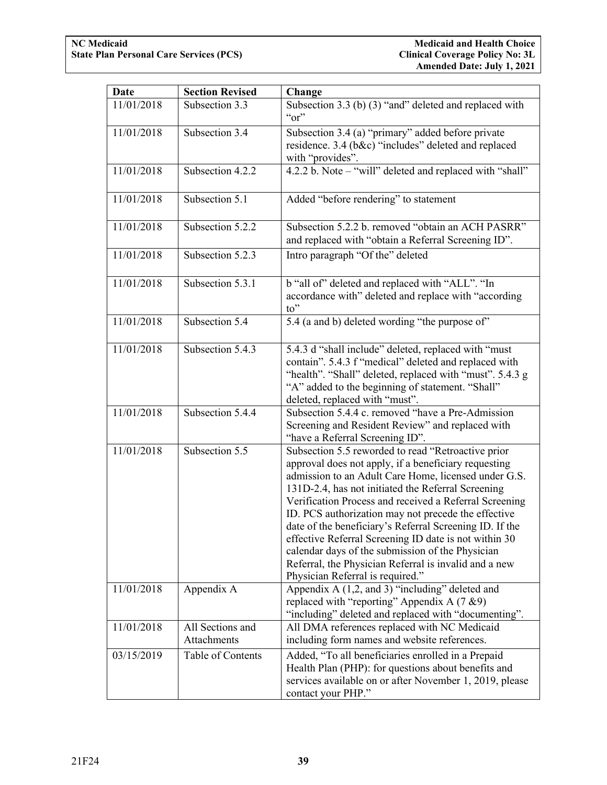| <b>Date</b> | <b>Section Revised</b>          | Change                                                                                                                                                                                                                                                                                                                                                                                                                                                                                                                                                                                                         |  |
|-------------|---------------------------------|----------------------------------------------------------------------------------------------------------------------------------------------------------------------------------------------------------------------------------------------------------------------------------------------------------------------------------------------------------------------------------------------------------------------------------------------------------------------------------------------------------------------------------------------------------------------------------------------------------------|--|
| 11/01/2018  | Subsection 3.3                  | Subsection 3.3 (b) (3) "and" deleted and replaced with<br>``or"                                                                                                                                                                                                                                                                                                                                                                                                                                                                                                                                                |  |
| 11/01/2018  | Subsection 3.4                  | Subsection 3.4 (a) "primary" added before private<br>residence. 3.4 (b&c) "includes" deleted and replaced<br>with "provides".                                                                                                                                                                                                                                                                                                                                                                                                                                                                                  |  |
| 11/01/2018  | Subsection 4.2.2                | 4.2.2 b. Note - "will" deleted and replaced with "shall"                                                                                                                                                                                                                                                                                                                                                                                                                                                                                                                                                       |  |
| 11/01/2018  | Subsection 5.1                  | Added "before rendering" to statement                                                                                                                                                                                                                                                                                                                                                                                                                                                                                                                                                                          |  |
| 11/01/2018  | Subsection 5.2.2                | Subsection 5.2.2 b. removed "obtain an ACH PASRR"<br>and replaced with "obtain a Referral Screening ID".                                                                                                                                                                                                                                                                                                                                                                                                                                                                                                       |  |
| 11/01/2018  | Subsection 5.2.3                | Intro paragraph "Of the" deleted                                                                                                                                                                                                                                                                                                                                                                                                                                                                                                                                                                               |  |
| 11/01/2018  | Subsection 5.3.1                | b "all of" deleted and replaced with "ALL". "In<br>accordance with" deleted and replace with "according<br>to"                                                                                                                                                                                                                                                                                                                                                                                                                                                                                                 |  |
| 11/01/2018  | Subsection 5.4                  | 5.4 (a and b) deleted wording "the purpose of"                                                                                                                                                                                                                                                                                                                                                                                                                                                                                                                                                                 |  |
| 11/01/2018  | Subsection 5.4.3                | 5.4.3 d "shall include" deleted, replaced with "must<br>contain". 5.4.3 f "medical" deleted and replaced with<br>"health". "Shall" deleted, replaced with "must". 5.4.3 g<br>"A" added to the beginning of statement. "Shall"<br>deleted, replaced with "must".                                                                                                                                                                                                                                                                                                                                                |  |
| 11/01/2018  | Subsection 5.4.4                | Subsection 5.4.4 c. removed "have a Pre-Admission"<br>Screening and Resident Review" and replaced with<br>"have a Referral Screening ID".                                                                                                                                                                                                                                                                                                                                                                                                                                                                      |  |
| 11/01/2018  | Subsection 5.5                  | Subsection 5.5 reworded to read "Retroactive prior<br>approval does not apply, if a beneficiary requesting<br>admission to an Adult Care Home, licensed under G.S.<br>131D-2.4, has not initiated the Referral Screening<br>Verification Process and received a Referral Screening<br>ID. PCS authorization may not precede the effective<br>date of the beneficiary's Referral Screening ID. If the<br>effective Referral Screening ID date is not within 30<br>calendar days of the submission of the Physician<br>Referral, the Physician Referral is invalid and a new<br>Physician Referral is required." |  |
| 11/01/2018  | Appendix A                      | Appendix A (1,2, and 3) "including" deleted and<br>replaced with "reporting" Appendix A $(7 \& 9)$<br>"including" deleted and replaced with "documenting".                                                                                                                                                                                                                                                                                                                                                                                                                                                     |  |
| 11/01/2018  | All Sections and<br>Attachments | All DMA references replaced with NC Medicaid<br>including form names and website references.                                                                                                                                                                                                                                                                                                                                                                                                                                                                                                                   |  |
| 03/15/2019  | Table of Contents               | Added, "To all beneficiaries enrolled in a Prepaid<br>Health Plan (PHP): for questions about benefits and<br>services available on or after November 1, 2019, please<br>contact your PHP."                                                                                                                                                                                                                                                                                                                                                                                                                     |  |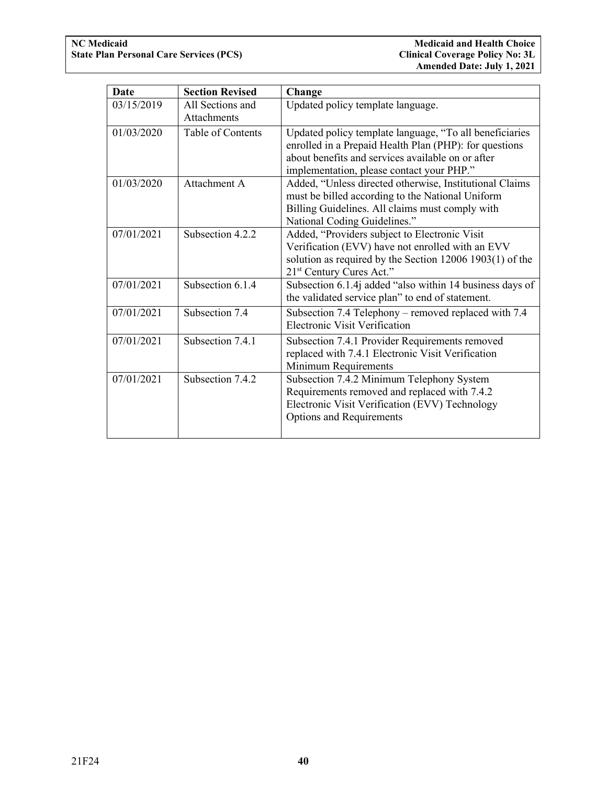| Date       | <b>Section Revised</b>                 | Change                                                                                                                                                                                                              |  |
|------------|----------------------------------------|---------------------------------------------------------------------------------------------------------------------------------------------------------------------------------------------------------------------|--|
| 03/15/2019 | All Sections and<br><b>Attachments</b> | Updated policy template language.                                                                                                                                                                                   |  |
| 01/03/2020 | Table of Contents                      | Updated policy template language, "To all beneficiaries<br>enrolled in a Prepaid Health Plan (PHP): for questions<br>about benefits and services available on or after<br>implementation, please contact your PHP." |  |
| 01/03/2020 | Attachment A                           | Added, "Unless directed otherwise, Institutional Claims<br>must be billed according to the National Uniform<br>Billing Guidelines. All claims must comply with<br>National Coding Guidelines."                      |  |
| 07/01/2021 | Subsection 4.2.2                       | Added, "Providers subject to Electronic Visit<br>Verification (EVV) have not enrolled with an EVV<br>solution as required by the Section $12006 1903(1)$ of the<br>21 <sup>st</sup> Century Cures Act."             |  |
| 07/01/2021 | Subsection 6.1.4                       | Subsection 6.1.4j added "also within 14 business days of<br>the validated service plan" to end of statement.                                                                                                        |  |
| 07/01/2021 | Subsection 7.4                         | Subsection 7.4 Telephony – removed replaced with 7.4<br><b>Electronic Visit Verification</b>                                                                                                                        |  |
| 07/01/2021 | Subsection 7.4.1                       | Subsection 7.4.1 Provider Requirements removed<br>replaced with 7.4.1 Electronic Visit Verification<br>Minimum Requirements                                                                                         |  |
| 07/01/2021 | Subsection 7.4.2                       | Subsection 7.4.2 Minimum Telephony System<br>Requirements removed and replaced with 7.4.2<br>Electronic Visit Verification (EVV) Technology<br><b>Options and Requirements</b>                                      |  |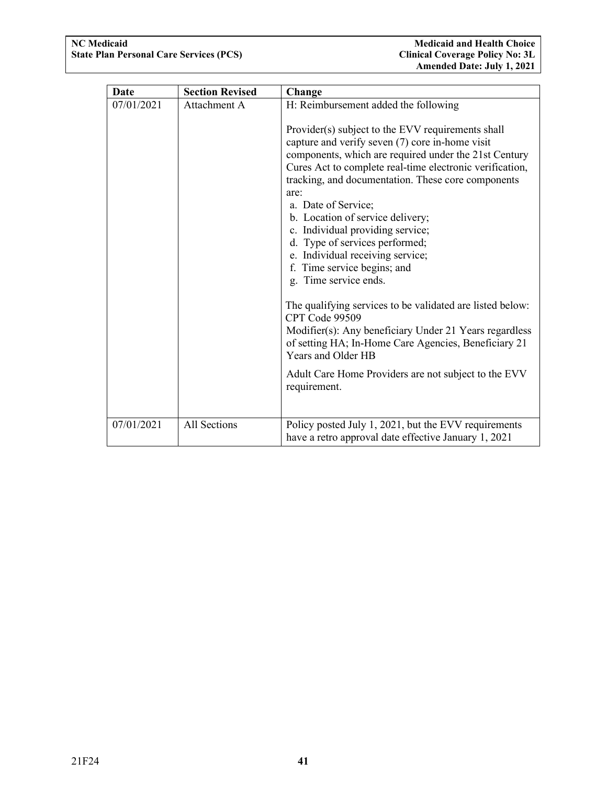| <b>Date</b> | <b>Section Revised</b> | Change                                                                                                                                                                                                                                                                                                                                                                                     |  |  |
|-------------|------------------------|--------------------------------------------------------------------------------------------------------------------------------------------------------------------------------------------------------------------------------------------------------------------------------------------------------------------------------------------------------------------------------------------|--|--|
| 07/01/2021  | Attachment A           | H: Reimbursement added the following<br>Provider(s) subject to the EVV requirements shall<br>capture and verify seven (7) core in-home visit<br>components, which are required under the 21st Century<br>Cures Act to complete real-time electronic verification,<br>tracking, and documentation. These core components<br>are:<br>a. Date of Service;<br>b. Location of service delivery; |  |  |
|             |                        | c. Individual providing service;<br>d. Type of services performed;<br>e. Individual receiving service;<br>f. Time service begins; and<br>g. Time service ends.                                                                                                                                                                                                                             |  |  |
|             |                        | The qualifying services to be validated are listed below:<br>CPT Code 99509<br>Modifier(s): Any beneficiary Under 21 Years regardless<br>of setting HA; In-Home Care Agencies, Beneficiary 21<br>Years and Older HB                                                                                                                                                                        |  |  |
|             |                        | Adult Care Home Providers are not subject to the EVV<br>requirement.                                                                                                                                                                                                                                                                                                                       |  |  |
| 07/01/2021  | All Sections           | Policy posted July 1, 2021, but the EVV requirements<br>have a retro approval date effective January 1, 2021                                                                                                                                                                                                                                                                               |  |  |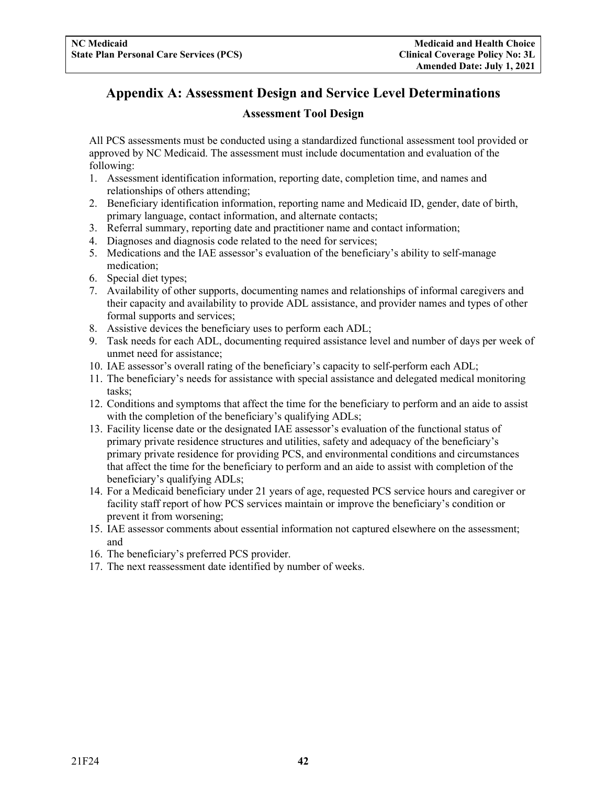## <span id="page-44-0"></span>**Appendix A: Assessment Design and Service Level Determinations**

#### **Assessment Tool Design**

All PCS assessments must be conducted using a standardized functional assessment tool provided or approved by NC Medicaid. The assessment must include documentation and evaluation of the following:

- 1. Assessment identification information, reporting date, completion time, and names and relationships of others attending;
- 2. Beneficiary identification information, reporting name and Medicaid ID, gender, date of birth, primary language, contact information, and alternate contacts;
- 3. Referral summary, reporting date and practitioner name and contact information;
- 4. Diagnoses and diagnosis code related to the need for services;
- 5. Medications and the IAE assessor's evaluation of the beneficiary's ability to self-manage medication;
- 6. Special diet types;
- 7. Availability of other supports, documenting names and relationships of informal caregivers and their capacity and availability to provide ADL assistance, and provider names and types of other formal supports and services;
- 8. Assistive devices the beneficiary uses to perform each ADL;
- 9. Task needs for each ADL, documenting required assistance level and number of days per week of unmet need for assistance;
- 10. IAE assessor's overall rating of the beneficiary's capacity to self-perform each ADL;
- 11. The beneficiary's needs for assistance with special assistance and delegated medical monitoring tasks;
- 12. Conditions and symptoms that affect the time for the beneficiary to perform and an aide to assist with the completion of the beneficiary's qualifying ADLs;
- 13. Facility license date or the designated IAE assessor's evaluation of the functional status of primary private residence structures and utilities, safety and adequacy of the beneficiary's primary private residence for providing PCS, and environmental conditions and circumstances that affect the time for the beneficiary to perform and an aide to assist with completion of the beneficiary's qualifying ADLs;
- 14. For a Medicaid beneficiary under 21 years of age, requested PCS service hours and caregiver or facility staff report of how PCS services maintain or improve the beneficiary's condition or prevent it from worsening;
- 15. IAE assessor comments about essential information not captured elsewhere on the assessment; and
- 16. The beneficiary's preferred PCS provider.
- 17. The next reassessment date identified by number of weeks.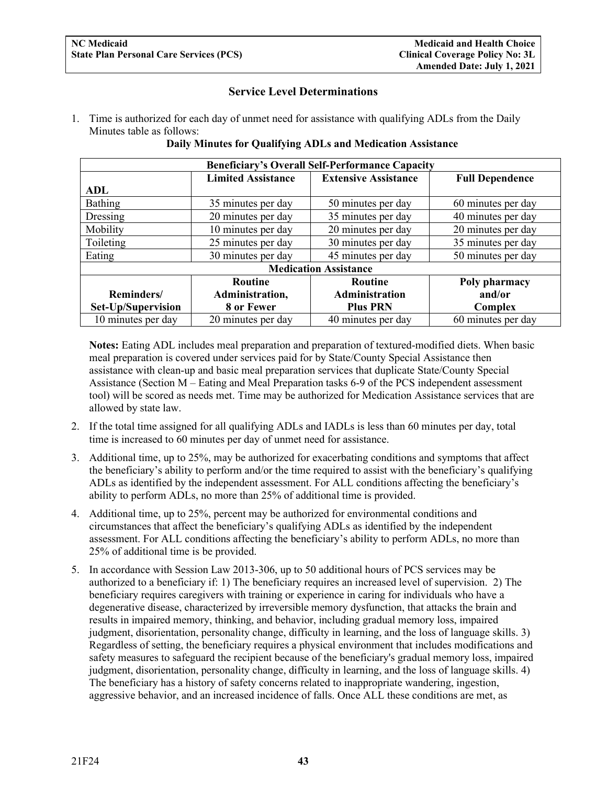#### **Service Level Determinations**

1. Time is authorized for each day of unmet need for assistance with qualifying ADLs from the Daily Minutes table as follows:

| <b>Beneficiary's Overall Self-Performance Capacity</b> |                           |                             |                        |  |
|--------------------------------------------------------|---------------------------|-----------------------------|------------------------|--|
|                                                        | <b>Limited Assistance</b> | <b>Extensive Assistance</b> | <b>Full Dependence</b> |  |
| ADL                                                    |                           |                             |                        |  |
| Bathing                                                | 35 minutes per day        | 50 minutes per day          | 60 minutes per day     |  |
| Dressing                                               | 20 minutes per day        | 35 minutes per day          | 40 minutes per day     |  |
| Mobility                                               | 10 minutes per day        | 20 minutes per day          | 20 minutes per day     |  |
| Toileting                                              | 25 minutes per day        | 30 minutes per day          | 35 minutes per day     |  |
| Eating                                                 | 30 minutes per day        | 45 minutes per day          | 50 minutes per day     |  |
| <b>Medication Assistance</b>                           |                           |                             |                        |  |
|                                                        | <b>Routine</b>            | <b>Routine</b>              | Poly pharmacy          |  |
| Reminders/                                             | Administration,           | <b>Administration</b>       | and/or                 |  |
| Set-Up/Supervision                                     | 8 or Fewer                | <b>Plus PRN</b>             | Complex                |  |
| 10 minutes per day                                     | 20 minutes per day        | 40 minutes per day          | 60 minutes per day     |  |

#### **Daily Minutes for Qualifying ADLs and Medication Assistance**

**Notes:** Eating ADL includes meal preparation and preparation of textured-modified diets. When basic meal preparation is covered under services paid for by State/County Special Assistance then assistance with clean-up and basic meal preparation services that duplicate State/County Special Assistance (Section M – Eating and Meal Preparation tasks 6-9 of the PCS independent assessment tool) will be scored as needs met. Time may be authorized for Medication Assistance services that are allowed by state law.

- 2. If the total time assigned for all qualifying ADLs and IADLs is less than 60 minutes per day, total time is increased to 60 minutes per day of unmet need for assistance.
- 3. Additional time, up to 25%, may be authorized for exacerbating conditions and symptoms that affect the beneficiary's ability to perform and/or the time required to assist with the beneficiary's qualifying ADLs as identified by the independent assessment. For ALL conditions affecting the beneficiary's ability to perform ADLs, no more than 25% of additional time is provided.
- 4. Additional time, up to 25%, percent may be authorized for environmental conditions and circumstances that affect the beneficiary's qualifying ADLs as identified by the independent assessment. For ALL conditions affecting the beneficiary's ability to perform ADLs, no more than 25% of additional time is be provided.
- 5. In accordance with Session Law 2013-306, up to 50 additional hours of PCS services may be authorized to a beneficiary if: 1) The beneficiary requires an increased level of supervision. 2) The beneficiary requires caregivers with training or experience in caring for individuals who have a degenerative disease, characterized by irreversible memory dysfunction, that attacks the brain and results in impaired memory, thinking, and behavior, including gradual memory loss, impaired judgment, disorientation, personality change, difficulty in learning, and the loss of language skills. 3) Regardless of setting, the beneficiary requires a physical environment that includes modifications and safety measures to safeguard the recipient because of the beneficiary's gradual memory loss, impaired judgment, disorientation, personality change, difficulty in learning, and the loss of language skills. 4) The beneficiary has a history of safety concerns related to inappropriate wandering, ingestion, aggressive behavior, and an increased incidence of falls. Once ALL these conditions are met, as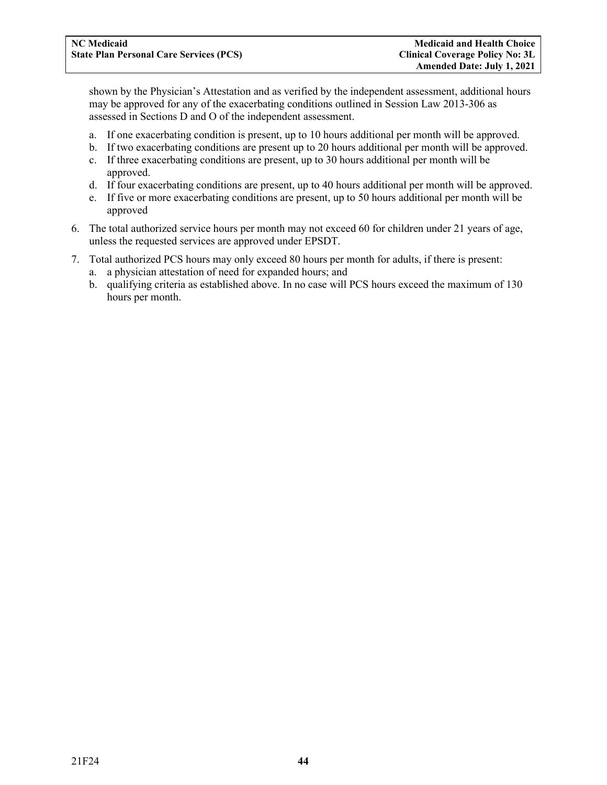shown by the Physician's Attestation and as verified by the independent assessment, additional hours may be approved for any of the exacerbating conditions outlined in Session Law 2013-306 as assessed in Sections D and O of the independent assessment.

- a. If one exacerbating condition is present, up to 10 hours additional per month will be approved.
- b. If two exacerbating conditions are present up to 20 hours additional per month will be approved.
- c. If three exacerbating conditions are present, up to 30 hours additional per month will be approved.
- d. If four exacerbating conditions are present, up to 40 hours additional per month will be approved.
- e. If five or more exacerbating conditions are present, up to 50 hours additional per month will be approved
- 6. The total authorized service hours per month may not exceed 60 for children under 21 years of age, unless the requested services are approved under EPSDT.
- 7. Total authorized PCS hours may only exceed 80 hours per month for adults, if there is present: a. a physician attestation of need for expanded hours; and
	- b. qualifying criteria as established above. In no case will PCS hours exceed the maximum of 130 hours per month.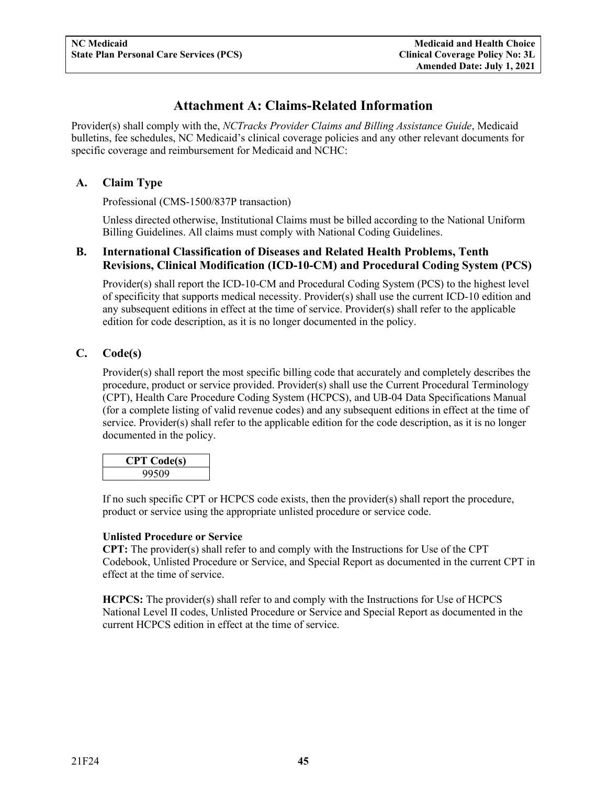## **Attachment A: Claims-Related Information**

<span id="page-47-0"></span>Provider(s) shall comply with the, *NCTracks Provider Claims and Billing Assistance Guide*, Medicaid bulletins, fee schedules, NC Medicaid's clinical coverage policies and any other relevant documents for specific coverage and reimbursement for Medicaid and NCHC:

#### <span id="page-47-1"></span>**A. Claim Type**

Professional (CMS-1500/837P transaction)

Unless directed otherwise, Institutional Claims must be billed according to the National Uniform Billing Guidelines. All claims must comply with National Coding Guidelines.

#### <span id="page-47-2"></span>**B. International Classification of Diseases and Related Health Problems, Tenth Revisions, Clinical Modification (ICD-10-CM) and Procedural Coding System (PCS)**

Provider(s) shall report the ICD-10-CM and Procedural Coding System (PCS) to the highest level of specificity that supports medical necessity. Provider(s) shall use the current ICD-10 edition and any subsequent editions in effect at the time of service. Provider(s) shall refer to the applicable edition for code description, as it is no longer documented in the policy.

#### <span id="page-47-3"></span>**C. Code(s)**

Provider(s) shall report the most specific billing code that accurately and completely describes the procedure, product or service provided. Provider(s) shall use the Current Procedural Terminology (CPT), Health Care Procedure Coding System (HCPCS), and UB-04 Data Specifications Manual (for a complete listing of valid revenue codes) and any subsequent editions in effect at the time of service. Provider(s) shall refer to the applicable edition for the code description, as it is no longer documented in the policy.

| <b>CPT Code(s)</b> |  |
|--------------------|--|
| 99509              |  |

If no such specific CPT or HCPCS code exists, then the provider(s) shall report the procedure, product or service using the appropriate unlisted procedure or service code.

#### **Unlisted Procedure or Service**

**CPT:** The provider(s) shall refer to and comply with the Instructions for Use of the CPT Codebook, Unlisted Procedure or Service, and Special Report as documented in the current CPT in effect at the time of service.

**HCPCS:** The provider(s) shall refer to and comply with the Instructions for Use of HCPCS National Level II codes, Unlisted Procedure or Service and Special Report as documented in the current HCPCS edition in effect at the time of service.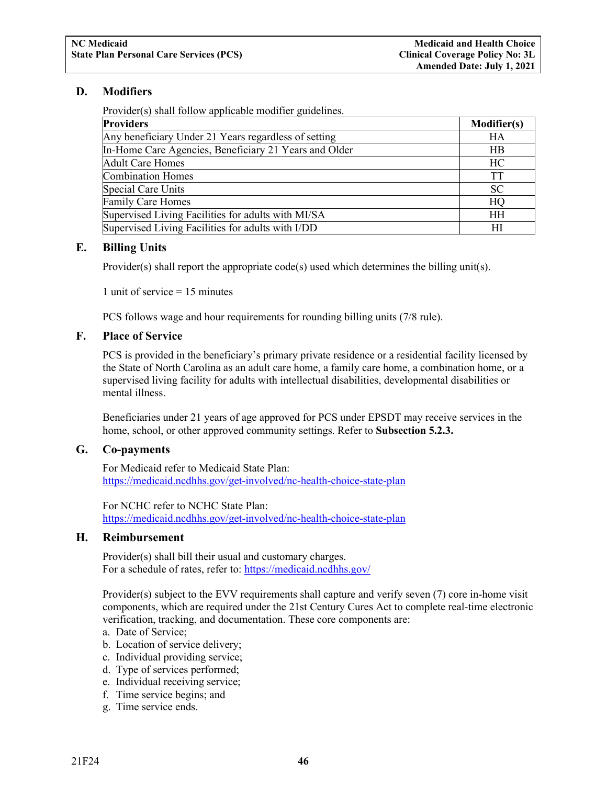#### <span id="page-48-0"></span>**D. Modifiers**

Provider(s) shall follow applicable modifier guidelines.

| <b>Providers</b>                                      | <b>Modifier(s)</b> |
|-------------------------------------------------------|--------------------|
| Any beneficiary Under 21 Years regardless of setting  | HА                 |
| In-Home Care Agencies, Beneficiary 21 Years and Older | <b>HB</b>          |
| <b>Adult Care Homes</b>                               | HC                 |
| <b>Combination Homes</b>                              | <b>TT</b>          |
| Special Care Units                                    | <b>SC</b>          |
| <b>Family Care Homes</b>                              | HQ                 |
| Supervised Living Facilities for adults with MI/SA    | <b>HH</b>          |
| Supervised Living Facilities for adults with I/DD     | НI                 |

#### <span id="page-48-1"></span>**E. Billing Units**

Provider(s) shall report the appropriate code(s) used which determines the billing unit(s).

1 unit of service  $= 15$  minutes

PCS follows wage and hour requirements for rounding billing units (7/8 rule).

#### <span id="page-48-2"></span>**F. Place of Service**

PCS is provided in the beneficiary's primary private residence or a residential facility licensed by the State of North Carolina as an adult care home, a family care home, a combination home, or a supervised living facility for adults with intellectual disabilities, developmental disabilities or mental illness.

Beneficiaries under 21 years of age approved for PCS under EPSDT may receive services in the home, school, or other approved community settings. Refer to **Subsection 5.2.3.**

#### <span id="page-48-3"></span>**G. Co-payments**

For Medicaid refer to Medicaid State Plan: <https://medicaid.ncdhhs.gov/get-involved/nc-health-choice-state-plan>

For NCHC refer to NCHC State Plan: <https://medicaid.ncdhhs.gov/get-involved/nc-health-choice-state-plan>

#### <span id="page-48-4"></span>**H. Reimbursement**

Provider(s) shall bill their usual and customary charges. For a schedule of rates, refer to:<https://medicaid.ncdhhs.gov/>

Provider(s) subject to the EVV requirements shall capture and verify seven (7) core in-home visit components, which are required under the 21st Century Cures Act to complete real-time electronic verification, tracking, and documentation. These core components are:

- a. Date of Service;
- b. Location of service delivery;
- c. Individual providing service;
- d. Type of services performed;
- e. Individual receiving service;
- f. Time service begins; and
- g. Time service ends.